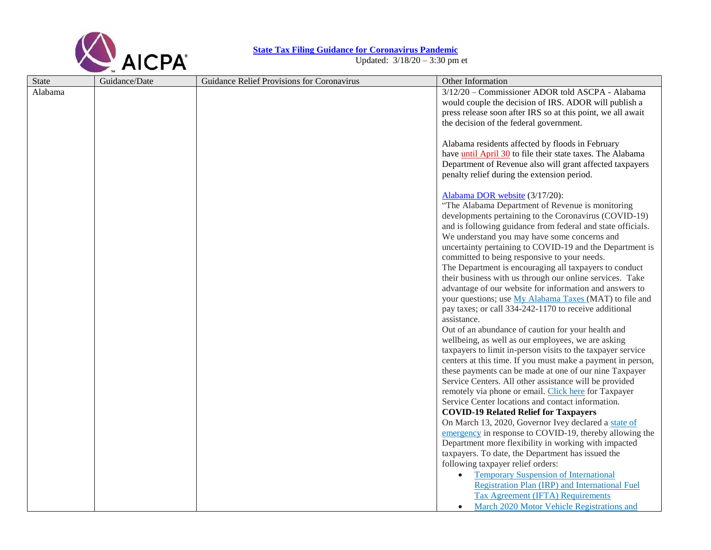

## **[State Tax Filing Guidance for](https://www.aicpa.org/content/dam/aicpa/advocacy/tax/downloadabledocuments/coronavirus-state-filing-relief.pdf) Coronavirus Pandemic**

Updated: 3/18/20 – 3:30 pm et

| <b>State</b> | Guidance/Date | Guidance Relief Provisions for Coronavirus | Other Information                                                                                           |
|--------------|---------------|--------------------------------------------|-------------------------------------------------------------------------------------------------------------|
| Alabama      |               |                                            | 3/12/20 - Commissioner ADOR told ASCPA - Alabama                                                            |
|              |               |                                            | would couple the decision of IRS. ADOR will publish a                                                       |
|              |               |                                            | press release soon after IRS so at this point, we all await                                                 |
|              |               |                                            | the decision of the federal government.                                                                     |
|              |               |                                            |                                                                                                             |
|              |               |                                            | Alabama residents affected by floods in February                                                            |
|              |               |                                            | have <i>until April 30</i> to file their state taxes. The Alabama                                           |
|              |               |                                            | Department of Revenue also will grant affected taxpayers                                                    |
|              |               |                                            | penalty relief during the extension period.                                                                 |
|              |               |                                            |                                                                                                             |
|              |               |                                            | Alabama DOR website (3/17/20):                                                                              |
|              |               |                                            | "The Alabama Department of Revenue is monitoring                                                            |
|              |               |                                            | developments pertaining to the Coronavirus (COVID-19)                                                       |
|              |               |                                            | and is following guidance from federal and state officials.<br>We understand you may have some concerns and |
|              |               |                                            | uncertainty pertaining to COVID-19 and the Department is                                                    |
|              |               |                                            | committed to being responsive to your needs.                                                                |
|              |               |                                            | The Department is encouraging all taxpayers to conduct                                                      |
|              |               |                                            | their business with us through our online services. Take                                                    |
|              |               |                                            | advantage of our website for information and answers to                                                     |
|              |               |                                            | your questions; use My Alabama Taxes (MAT) to file and                                                      |
|              |               |                                            | pay taxes; or call 334-242-1170 to receive additional                                                       |
|              |               |                                            | assistance.                                                                                                 |
|              |               |                                            | Out of an abundance of caution for your health and                                                          |
|              |               |                                            | wellbeing, as well as our employees, we are asking                                                          |
|              |               |                                            | taxpayers to limit in-person visits to the taxpayer service                                                 |
|              |               |                                            | centers at this time. If you must make a payment in person,                                                 |
|              |               |                                            | these payments can be made at one of our nine Taxpayer                                                      |
|              |               |                                            | Service Centers. All other assistance will be provided                                                      |
|              |               |                                            | remotely via phone or email. Click here for Taxpayer                                                        |
|              |               |                                            | Service Center locations and contact information.                                                           |
|              |               |                                            | <b>COVID-19 Related Relief for Taxpayers</b>                                                                |
|              |               |                                            | On March 13, 2020, Governor Ivey declared a state of                                                        |
|              |               |                                            | emergency in response to COVID-19, thereby allowing the                                                     |
|              |               |                                            | Department more flexibility in working with impacted                                                        |
|              |               |                                            | taxpayers. To date, the Department has issued the                                                           |
|              |               |                                            | following taxpayer relief orders:                                                                           |
|              |               |                                            | <b>Temporary Suspension of International</b><br>$\bullet$                                                   |
|              |               |                                            | Registration Plan (IRP) and International Fuel                                                              |
|              |               |                                            | <b>Tax Agreement (IFTA) Requirements</b>                                                                    |
|              |               |                                            | March 2020 Motor Vehicle Registrations and                                                                  |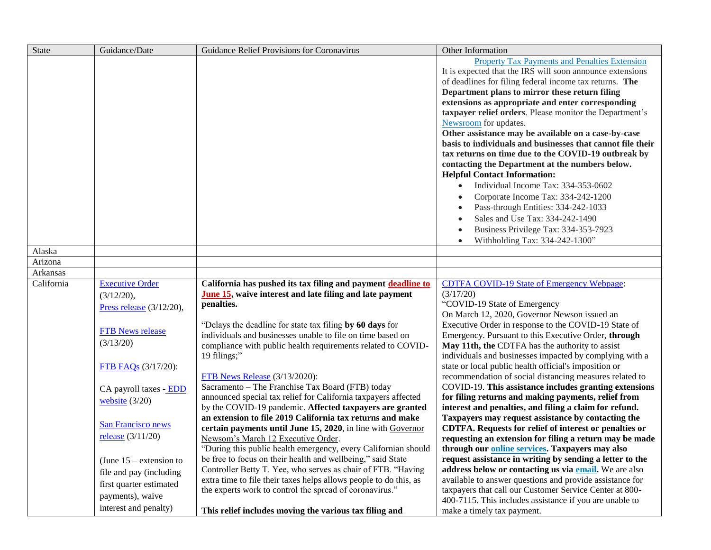| <b>State</b> | Guidance/Date               | Guidance Relief Provisions for Coronavirus                        | Other Information                                                                                                 |
|--------------|-----------------------------|-------------------------------------------------------------------|-------------------------------------------------------------------------------------------------------------------|
|              |                             |                                                                   | Property Tax Payments and Penalties Extension                                                                     |
|              |                             |                                                                   | It is expected that the IRS will soon announce extensions                                                         |
|              |                             |                                                                   | of deadlines for filing federal income tax returns. The                                                           |
|              |                             |                                                                   | Department plans to mirror these return filing                                                                    |
|              |                             |                                                                   | extensions as appropriate and enter corresponding                                                                 |
|              |                             |                                                                   | taxpayer relief orders. Please monitor the Department's                                                           |
|              |                             |                                                                   | Newsroom for updates.                                                                                             |
|              |                             |                                                                   | Other assistance may be available on a case-by-case<br>basis to individuals and businesses that cannot file their |
|              |                             |                                                                   | tax returns on time due to the COVID-19 outbreak by                                                               |
|              |                             |                                                                   | contacting the Department at the numbers below.                                                                   |
|              |                             |                                                                   | <b>Helpful Contact Information:</b>                                                                               |
|              |                             |                                                                   | Individual Income Tax: 334-353-0602                                                                               |
|              |                             |                                                                   | Corporate Income Tax: 334-242-1200                                                                                |
|              |                             |                                                                   | Pass-through Entities: 334-242-1033                                                                               |
|              |                             |                                                                   | Sales and Use Tax: 334-242-1490                                                                                   |
|              |                             |                                                                   | Business Privilege Tax: 334-353-7923                                                                              |
|              |                             |                                                                   | Withholding Tax: 334-242-1300"<br>$\bullet$                                                                       |
| Alaska       |                             |                                                                   |                                                                                                                   |
| Arizona      |                             |                                                                   |                                                                                                                   |
| Arkansas     |                             |                                                                   |                                                                                                                   |
| California   | <b>Executive Order</b>      | California has pushed its tax filing and payment deadline to      | <b>CDTFA COVID-19 State of Emergency Webpage:</b>                                                                 |
|              | (3/12/20),                  | June 15, waive interest and late filing and late payment          | (3/17/20)                                                                                                         |
|              | Press release $(3/12/20)$ , | penalties.                                                        | "COVID-19 State of Emergency                                                                                      |
|              |                             |                                                                   | On March 12, 2020, Governor Newson issued an                                                                      |
|              | <b>FTB News release</b>     | "Delays the deadline for state tax filing by 60 days for          | Executive Order in response to the COVID-19 State of                                                              |
|              | (3/13/20)                   | individuals and businesses unable to file on time based on        | Emergency. Pursuant to this Executive Order, through                                                              |
|              |                             | compliance with public health requirements related to COVID-      | May 11th, the CDTFA has the authority to assist                                                                   |
|              |                             | 19 filings;"                                                      | individuals and businesses impacted by complying with a                                                           |
|              | <b>FTB FAQs</b> (3/17/20):  | FTB News Release (3/13/2020):                                     | state or local public health official's imposition or<br>recommendation of social distancing measures related to  |
|              |                             | Sacramento - The Franchise Tax Board (FTB) today                  | COVID-19. This assistance includes granting extensions                                                            |
|              | CA payroll taxes - EDD      | announced special tax relief for California taxpayers affected    | for filing returns and making payments, relief from                                                               |
|              | website $(3/20)$            | by the COVID-19 pandemic. Affected taxpayers are granted          | interest and penalties, and filing a claim for refund.                                                            |
|              |                             | an extension to file 2019 California tax returns and make         | Taxpayers may request assistance by contacting the                                                                |
|              | <b>San Francisco news</b>   | certain payments until June 15, 2020, in line with Governor       | CDTFA. Requests for relief of interest or penalties or                                                            |
|              | release $(3/11/20)$         | Newsom's March 12 Executive Order.                                | requesting an extension for filing a return may be made                                                           |
|              |                             | "During this public health emergency, every Californian should    | through our <b>online services</b> . Taxpayers may also                                                           |
|              | (June $15$ – extension to   | be free to focus on their health and wellbeing," said State       | request assistance in writing by sending a letter to the                                                          |
|              | file and pay (including     | Controller Betty T. Yee, who serves as chair of FTB. "Having      | address below or contacting us via email. We are also                                                             |
|              | first quarter estimated     | extra time to file their taxes helps allows people to do this, as | available to answer questions and provide assistance for                                                          |
|              | payments), waive            | the experts work to control the spread of coronavirus."           | taxpayers that call our Customer Service Center at 800-                                                           |
|              | interest and penalty)       |                                                                   | 400-7115. This includes assistance if you are unable to                                                           |
|              |                             | This relief includes moving the various tax filing and            | make a timely tax payment.                                                                                        |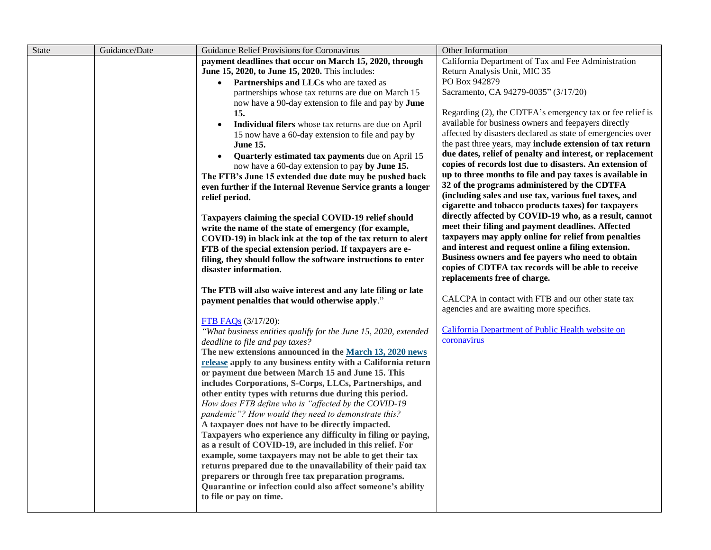| State | Guidance/Date | Guidance Relief Provisions for Coronavirus                                                                        | Other Information                                                                                        |
|-------|---------------|-------------------------------------------------------------------------------------------------------------------|----------------------------------------------------------------------------------------------------------|
|       |               | payment deadlines that occur on March 15, 2020, through                                                           | California Department of Tax and Fee Administration                                                      |
|       |               | June 15, 2020, to June 15, 2020. This includes:                                                                   | Return Analysis Unit, MIC 35                                                                             |
|       |               | • Partnerships and LLCs who are taxed as                                                                          | PO Box 942879                                                                                            |
|       |               | partnerships whose tax returns are due on March 15                                                                | Sacramento, CA 94279-0035" (3/17/20)                                                                     |
|       |               | now have a 90-day extension to file and pay by June                                                               |                                                                                                          |
|       |               | 15.                                                                                                               | Regarding (2), the CDTFA's emergency tax or fee relief is                                                |
|       |               | Individual filers whose tax returns are due on April<br>$\bullet$                                                 | available for business owners and feepayers directly                                                     |
|       |               | 15 now have a 60-day extension to file and pay by                                                                 | affected by disasters declared as state of emergencies over                                              |
|       |               | <b>June 15.</b>                                                                                                   | the past three years, may include extension of tax return                                                |
|       |               | Quarterly estimated tax payments due on April 15                                                                  | due dates, relief of penalty and interest, or replacement                                                |
|       |               | now have a 60-day extension to pay by June 15.                                                                    | copies of records lost due to disasters. An extension of                                                 |
|       |               | The FTB's June 15 extended due date may be pushed back                                                            | up to three months to file and pay taxes is available in<br>32 of the programs administered by the CDTFA |
|       |               | even further if the Internal Revenue Service grants a longer                                                      | (including sales and use tax, various fuel taxes, and                                                    |
|       |               | relief period.                                                                                                    | cigarette and tobacco products taxes) for taxpayers                                                      |
|       |               |                                                                                                                   | directly affected by COVID-19 who, as a result, cannot                                                   |
|       |               | Taxpayers claiming the special COVID-19 relief should<br>write the name of the state of emergency (for example,   | meet their filing and payment deadlines. Affected                                                        |
|       |               | COVID-19) in black ink at the top of the tax return to alert                                                      | taxpayers may apply online for relief from penalties                                                     |
|       |               | FTB of the special extension period. If taxpayers are e-                                                          | and interest and request online a filing extension.                                                      |
|       |               | filing, they should follow the software instructions to enter                                                     | Business owners and fee payers who need to obtain                                                        |
|       |               | disaster information.                                                                                             | copies of CDTFA tax records will be able to receive                                                      |
|       |               |                                                                                                                   | replacements free of charge.                                                                             |
|       |               | The FTB will also waive interest and any late filing or late                                                      |                                                                                                          |
|       |               | payment penalties that would otherwise apply."                                                                    | CALCPA in contact with FTB and our other state tax                                                       |
|       |               |                                                                                                                   | agencies and are awaiting more specifics.                                                                |
|       |               | FTB FAQs (3/17/20):                                                                                               |                                                                                                          |
|       |               | "What business entities qualify for the June 15, 2020, extended                                                   | California Department of Public Health website on                                                        |
|       |               | deadline to file and pay taxes?                                                                                   | coronavirus                                                                                              |
|       |               | The new extensions announced in the March 13, 2020 news                                                           |                                                                                                          |
|       |               | release apply to any business entity with a California return                                                     |                                                                                                          |
|       |               | or payment due between March 15 and June 15. This                                                                 |                                                                                                          |
|       |               | includes Corporations, S-Corps, LLCs, Partnerships, and                                                           |                                                                                                          |
|       |               | other entity types with returns due during this period.                                                           |                                                                                                          |
|       |               | How does FTB define who is "affected by the COVID-19                                                              |                                                                                                          |
|       |               | pandemic"? How would they need to demonstrate this?                                                               |                                                                                                          |
|       |               | A taxpayer does not have to be directly impacted.<br>Taxpayers who experience any difficulty in filing or paying, |                                                                                                          |
|       |               | as a result of COVID-19, are included in this relief. For                                                         |                                                                                                          |
|       |               | example, some taxpayers may not be able to get their tax                                                          |                                                                                                          |
|       |               | returns prepared due to the unavailability of their paid tax                                                      |                                                                                                          |
|       |               | preparers or through free tax preparation programs.                                                               |                                                                                                          |
|       |               | Quarantine or infection could also affect someone's ability                                                       |                                                                                                          |
|       |               | to file or pay on time.                                                                                           |                                                                                                          |
|       |               |                                                                                                                   |                                                                                                          |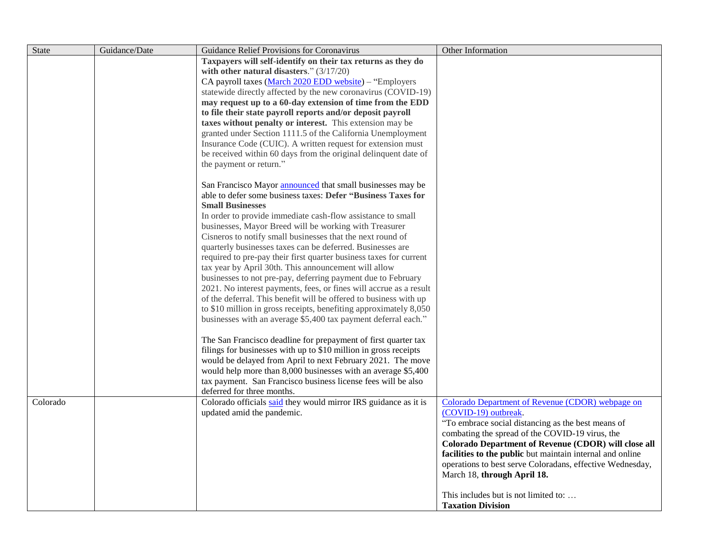| <b>State</b> | Guidance/Date | Guidance Relief Provisions for Coronavirus                                                                                             | Other Information                                                                                                 |
|--------------|---------------|----------------------------------------------------------------------------------------------------------------------------------------|-------------------------------------------------------------------------------------------------------------------|
|              |               | Taxpayers will self-identify on their tax returns as they do                                                                           |                                                                                                                   |
|              |               | with other natural disasters." $(3/17/20)$                                                                                             |                                                                                                                   |
|              |               | CA payroll taxes (March 2020 EDD website) - "Employers                                                                                 |                                                                                                                   |
|              |               | statewide directly affected by the new coronavirus (COVID-19)                                                                          |                                                                                                                   |
|              |               | may request up to a 60-day extension of time from the EDD                                                                              |                                                                                                                   |
|              |               | to file their state payroll reports and/or deposit payroll                                                                             |                                                                                                                   |
|              |               | taxes without penalty or interest. This extension may be<br>granted under Section 1111.5 of the California Unemployment                |                                                                                                                   |
|              |               | Insurance Code (CUIC). A written request for extension must                                                                            |                                                                                                                   |
|              |               | be received within 60 days from the original delinquent date of                                                                        |                                                                                                                   |
|              |               | the payment or return."                                                                                                                |                                                                                                                   |
|              |               |                                                                                                                                        |                                                                                                                   |
|              |               | San Francisco Mayor <i>announced</i> that small businesses may be                                                                      |                                                                                                                   |
|              |               | able to defer some business taxes: Defer "Business Taxes for                                                                           |                                                                                                                   |
|              |               | <b>Small Businesses</b>                                                                                                                |                                                                                                                   |
|              |               | In order to provide immediate cash-flow assistance to small                                                                            |                                                                                                                   |
|              |               | businesses, Mayor Breed will be working with Treasurer                                                                                 |                                                                                                                   |
|              |               | Cisneros to notify small businesses that the next round of                                                                             |                                                                                                                   |
|              |               | quarterly businesses taxes can be deferred. Businesses are                                                                             |                                                                                                                   |
|              |               | required to pre-pay their first quarter business taxes for current                                                                     |                                                                                                                   |
|              |               | tax year by April 30th. This announcement will allow                                                                                   |                                                                                                                   |
|              |               | businesses to not pre-pay, deferring payment due to February                                                                           |                                                                                                                   |
|              |               | 2021. No interest payments, fees, or fines will accrue as a result                                                                     |                                                                                                                   |
|              |               | of the deferral. This benefit will be offered to business with up<br>to \$10 million in gross receipts, benefiting approximately 8,050 |                                                                                                                   |
|              |               | businesses with an average \$5,400 tax payment deferral each."                                                                         |                                                                                                                   |
|              |               |                                                                                                                                        |                                                                                                                   |
|              |               | The San Francisco deadline for prepayment of first quarter tax                                                                         |                                                                                                                   |
|              |               | filings for businesses with up to \$10 million in gross receipts                                                                       |                                                                                                                   |
|              |               | would be delayed from April to next February 2021. The move                                                                            |                                                                                                                   |
|              |               | would help more than 8,000 businesses with an average \$5,400                                                                          |                                                                                                                   |
|              |               | tax payment. San Francisco business license fees will be also                                                                          |                                                                                                                   |
|              |               | deferred for three months.                                                                                                             |                                                                                                                   |
| Colorado     |               | Colorado officials said they would mirror IRS guidance as it is                                                                        | Colorado Department of Revenue (CDOR) webpage on                                                                  |
|              |               | updated amid the pandemic.                                                                                                             | (COVID-19) outbreak.                                                                                              |
|              |               |                                                                                                                                        | "To embrace social distancing as the best means of                                                                |
|              |               |                                                                                                                                        | combating the spread of the COVID-19 virus, the                                                                   |
|              |               |                                                                                                                                        | Colorado Department of Revenue (CDOR) will close all<br>facilities to the public but maintain internal and online |
|              |               |                                                                                                                                        | operations to best serve Coloradans, effective Wednesday,                                                         |
|              |               |                                                                                                                                        | March 18, through April 18.                                                                                       |
|              |               |                                                                                                                                        |                                                                                                                   |
|              |               |                                                                                                                                        | This includes but is not limited to:                                                                              |
|              |               |                                                                                                                                        | <b>Taxation Division</b>                                                                                          |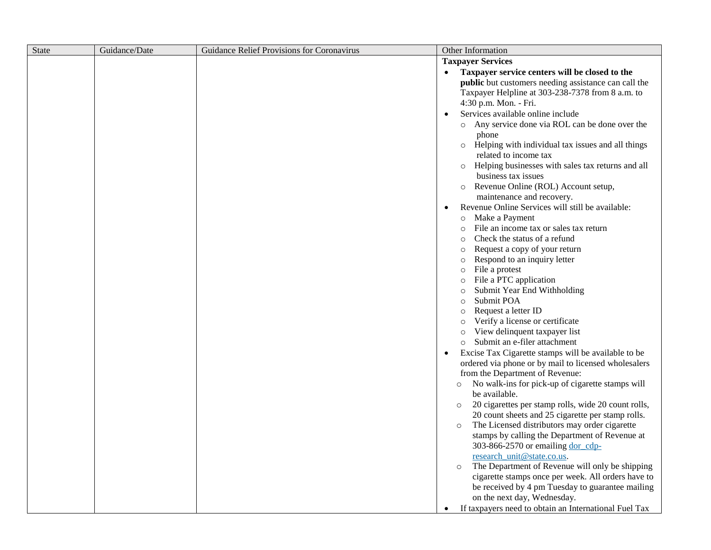| State | Guidance/Date | Guidance Relief Provisions for Coronavirus | Other Information                                                                        |
|-------|---------------|--------------------------------------------|------------------------------------------------------------------------------------------|
|       |               |                                            | <b>Taxpayer Services</b>                                                                 |
|       |               |                                            | Taxpayer service centers will be closed to the<br>$\bullet$                              |
|       |               |                                            | public but customers needing assistance can call the                                     |
|       |               |                                            | Taxpayer Helpline at 303-238-7378 from 8 a.m. to                                         |
|       |               |                                            | 4:30 p.m. Mon. - Fri.                                                                    |
|       |               |                                            | Services available online include                                                        |
|       |               |                                            | o Any service done via ROL can be done over the<br>phone                                 |
|       |               |                                            | Helping with individual tax issues and all things<br>$\circ$<br>related to income tax    |
|       |               |                                            | Helping businesses with sales tax returns and all<br>$\circ$<br>business tax issues      |
|       |               |                                            | Revenue Online (ROL) Account setup,<br>$\circ$                                           |
|       |               |                                            | maintenance and recovery.                                                                |
|       |               |                                            | Revenue Online Services will still be available:                                         |
|       |               |                                            | Make a Payment<br>$\circ$                                                                |
|       |               |                                            | File an income tax or sales tax return<br>$\circ$                                        |
|       |               |                                            | Check the status of a refund<br>$\circ$                                                  |
|       |               |                                            | Request a copy of your return<br>$\circ$<br>Respond to an inquiry letter                 |
|       |               |                                            | $\circ$<br>File a protest<br>$\circ$                                                     |
|       |               |                                            | File a PTC application<br>$\circ$                                                        |
|       |               |                                            | Submit Year End Withholding<br>$\circ$                                                   |
|       |               |                                            | Submit POA<br>$\circ$                                                                    |
|       |               |                                            | Request a letter ID<br>$\circ$                                                           |
|       |               |                                            | Verify a license or certificate<br>$\circ$                                               |
|       |               |                                            | View delinquent taxpayer list<br>$\circ$                                                 |
|       |               |                                            | Submit an e-filer attachment<br>$\circ$                                                  |
|       |               |                                            | Excise Tax Cigarette stamps will be available to be<br>$\bullet$                         |
|       |               |                                            | ordered via phone or by mail to licensed wholesalers                                     |
|       |               |                                            | from the Department of Revenue:                                                          |
|       |               |                                            | No walk-ins for pick-up of cigarette stamps will<br>$\circ$                              |
|       |               |                                            | be available.                                                                            |
|       |               |                                            | 20 cigarettes per stamp rolls, wide 20 count rolls,<br>$\circ$                           |
|       |               |                                            | 20 count sheets and 25 cigarette per stamp rolls.                                        |
|       |               |                                            | The Licensed distributors may order cigarette<br>$\circ$                                 |
|       |               |                                            | stamps by calling the Department of Revenue at                                           |
|       |               |                                            | 303-866-2570 or emailing dor_cdp-                                                        |
|       |               |                                            | research_unit@state.co.us.<br>The Department of Revenue will only be shipping<br>$\circ$ |
|       |               |                                            | cigarette stamps once per week. All orders have to                                       |
|       |               |                                            | be received by 4 pm Tuesday to guarantee mailing                                         |
|       |               |                                            | on the next day, Wednesday.                                                              |
|       |               |                                            | If taxpayers need to obtain an International Fuel Tax<br>$\bullet$                       |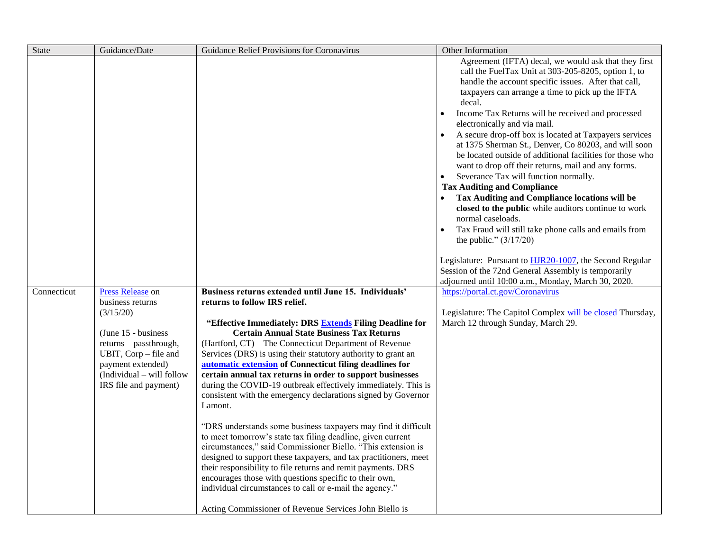| <b>State</b> | Guidance/Date                                                                                                                                                                                             | Guidance Relief Provisions for Coronavirus                                                                                                                                                                                                                                                                                                                                                                                                                                                                                                                                                                                                                              | Other Information                                                                                                                                                                                                                                                                                                                                                                                                                                                                                                                                                                                                                                                                                                                                                                                                                                                                                                                                                                                                                                                                                                                                                                                    |
|--------------|-----------------------------------------------------------------------------------------------------------------------------------------------------------------------------------------------------------|-------------------------------------------------------------------------------------------------------------------------------------------------------------------------------------------------------------------------------------------------------------------------------------------------------------------------------------------------------------------------------------------------------------------------------------------------------------------------------------------------------------------------------------------------------------------------------------------------------------------------------------------------------------------------|------------------------------------------------------------------------------------------------------------------------------------------------------------------------------------------------------------------------------------------------------------------------------------------------------------------------------------------------------------------------------------------------------------------------------------------------------------------------------------------------------------------------------------------------------------------------------------------------------------------------------------------------------------------------------------------------------------------------------------------------------------------------------------------------------------------------------------------------------------------------------------------------------------------------------------------------------------------------------------------------------------------------------------------------------------------------------------------------------------------------------------------------------------------------------------------------------|
| Connecticut  | Press Release on<br>business returns<br>(3/15/20)<br>$(June 15 - business)$<br>returns - passthrough,<br>UBIT, Corp – file and<br>payment extended)<br>(Individual – will follow<br>IRS file and payment) | Business returns extended until June 15. Individuals'<br>returns to follow IRS relief.<br>"Effective Immediately: DRS Extends Filing Deadline for<br><b>Certain Annual State Business Tax Returns</b><br>(Hartford, CT) - The Connecticut Department of Revenue<br>Services (DRS) is using their statutory authority to grant an<br>automatic extension of Connecticut filing deadlines for<br>certain annual tax returns in order to support businesses<br>during the COVID-19 outbreak effectively immediately. This is<br>consistent with the emergency declarations signed by Governor<br>Lamont.<br>"DRS understands some business taxpayers may find it difficult | Agreement (IFTA) decal, we would ask that they first<br>call the FuelTax Unit at 303-205-8205, option 1, to<br>handle the account specific issues. After that call,<br>taxpayers can arrange a time to pick up the IFTA<br>decal.<br>Income Tax Returns will be received and processed<br>electronically and via mail.<br>A secure drop-off box is located at Taxpayers services<br>at 1375 Sherman St., Denver, Co 80203, and will soon<br>be located outside of additional facilities for those who<br>want to drop off their returns, mail and any forms.<br>Severance Tax will function normally.<br>$\bullet$<br><b>Tax Auditing and Compliance</b><br>Tax Auditing and Compliance locations will be<br>closed to the public while auditors continue to work<br>normal caseloads.<br>Tax Fraud will still take phone calls and emails from<br>the public." $(3/17/20)$<br>Legislature: Pursuant to <b>HJR20-1007</b> , the Second Regular<br>Session of the 72nd General Assembly is temporarily<br>adjourned until 10:00 a.m., Monday, March 30, 2020.<br>https://portal.ct.gov/Coronavirus<br>Legislature: The Capitol Complex will be closed Thursday,<br>March 12 through Sunday, March 29. |
|              |                                                                                                                                                                                                           | to meet tomorrow's state tax filing deadline, given current<br>circumstances," said Commissioner Biello. "This extension is<br>designed to support these taxpayers, and tax practitioners, meet<br>their responsibility to file returns and remit payments. DRS<br>encourages those with questions specific to their own,<br>individual circumstances to call or e-mail the agency."                                                                                                                                                                                                                                                                                    |                                                                                                                                                                                                                                                                                                                                                                                                                                                                                                                                                                                                                                                                                                                                                                                                                                                                                                                                                                                                                                                                                                                                                                                                      |
|              |                                                                                                                                                                                                           | Acting Commissioner of Revenue Services John Biello is                                                                                                                                                                                                                                                                                                                                                                                                                                                                                                                                                                                                                  |                                                                                                                                                                                                                                                                                                                                                                                                                                                                                                                                                                                                                                                                                                                                                                                                                                                                                                                                                                                                                                                                                                                                                                                                      |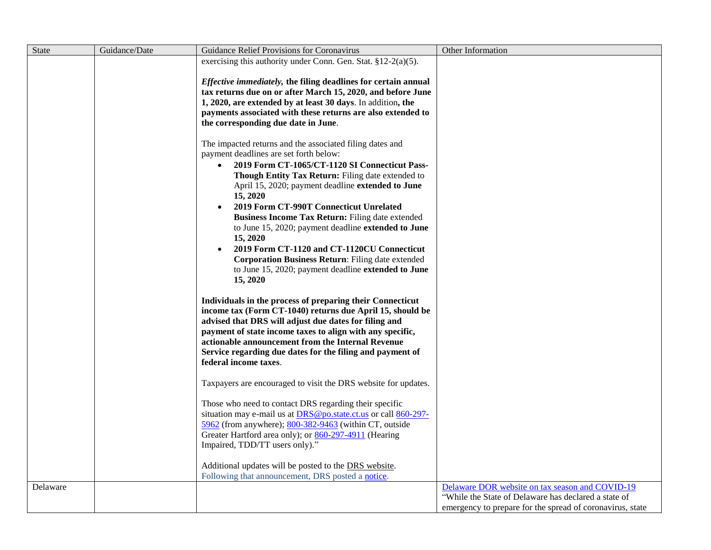| <b>State</b> | Guidance/Date | Guidance Relief Provisions for Coronavirus                                                                                                                                                                                                                                                                                                                                                                                                                                                                                                                                                                          | Other Information                                         |
|--------------|---------------|---------------------------------------------------------------------------------------------------------------------------------------------------------------------------------------------------------------------------------------------------------------------------------------------------------------------------------------------------------------------------------------------------------------------------------------------------------------------------------------------------------------------------------------------------------------------------------------------------------------------|-----------------------------------------------------------|
|              |               | exercising this authority under Conn. Gen. Stat. $§12-2(a)(5)$ .                                                                                                                                                                                                                                                                                                                                                                                                                                                                                                                                                    |                                                           |
|              |               | Effective immediately, the filing deadlines for certain annual<br>tax returns due on or after March 15, 2020, and before June<br>1, 2020, are extended by at least 30 days. In addition, the<br>payments associated with these returns are also extended to<br>the corresponding due date in June.                                                                                                                                                                                                                                                                                                                  |                                                           |
|              |               | The impacted returns and the associated filing dates and<br>payment deadlines are set forth below:<br>2019 Form CT-1065/CT-1120 SI Connecticut Pass-<br>Though Entity Tax Return: Filing date extended to<br>April 15, 2020; payment deadline extended to June<br>15, 2020<br>2019 Form CT-990T Connecticut Unrelated<br>Business Income Tax Return: Filing date extended<br>to June 15, 2020; payment deadline extended to June<br>15, 2020<br>2019 Form CT-1120 and CT-1120CU Connecticut<br>Corporation Business Return: Filing date extended<br>to June 15, 2020; payment deadline extended to June<br>15, 2020 |                                                           |
|              |               | Individuals in the process of preparing their Connecticut<br>income tax (Form CT-1040) returns due April 15, should be<br>advised that DRS will adjust due dates for filing and<br>payment of state income taxes to align with any specific,<br>actionable announcement from the Internal Revenue<br>Service regarding due dates for the filing and payment of<br>federal income taxes.                                                                                                                                                                                                                             |                                                           |
|              |               | Taxpayers are encouraged to visit the DRS website for updates.                                                                                                                                                                                                                                                                                                                                                                                                                                                                                                                                                      |                                                           |
|              |               | Those who need to contact DRS regarding their specific<br>situation may e-mail us at DRS@po.state.ct.us or call 860-297-<br>5962 (from anywhere); 800-382-9463 (within CT, outside<br>Greater Hartford area only); or 860-297-4911 (Hearing<br>Impaired, TDD/TT users only)."<br>Additional updates will be posted to the DRS website.                                                                                                                                                                                                                                                                              |                                                           |
|              |               | Following that announcement, DRS posted a notice.                                                                                                                                                                                                                                                                                                                                                                                                                                                                                                                                                                   |                                                           |
| Delaware     |               |                                                                                                                                                                                                                                                                                                                                                                                                                                                                                                                                                                                                                     | Delaware DOR website on tax season and COVID-19           |
|              |               |                                                                                                                                                                                                                                                                                                                                                                                                                                                                                                                                                                                                                     | "While the State of Delaware has declared a state of      |
|              |               |                                                                                                                                                                                                                                                                                                                                                                                                                                                                                                                                                                                                                     | emergency to prepare for the spread of coronavirus, state |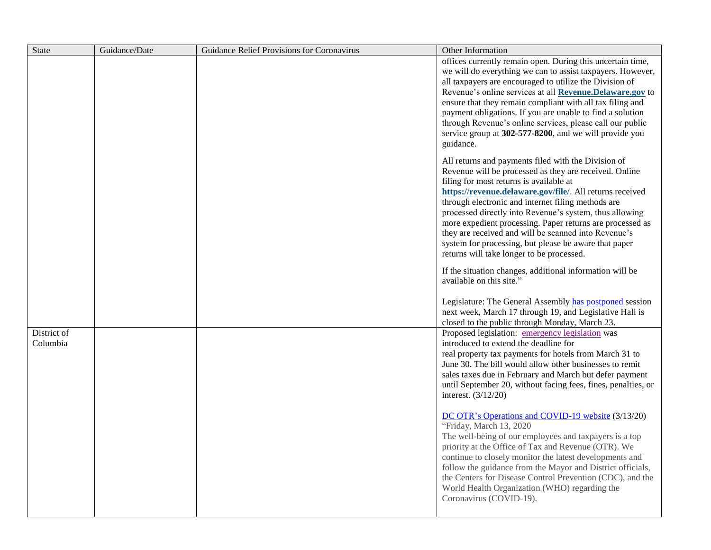| <b>State</b> | Guidance/Date | Guidance Relief Provisions for Coronavirus | Other Information                                                                                                 |
|--------------|---------------|--------------------------------------------|-------------------------------------------------------------------------------------------------------------------|
|              |               |                                            | offices currently remain open. During this uncertain time,                                                        |
|              |               |                                            | we will do everything we can to assist taxpayers. However,                                                        |
|              |               |                                            | all taxpayers are encouraged to utilize the Division of                                                           |
|              |               |                                            | Revenue's online services at all Revenue. Delaware.gov to                                                         |
|              |               |                                            | ensure that they remain compliant with all tax filing and                                                         |
|              |               |                                            | payment obligations. If you are unable to find a solution                                                         |
|              |               |                                            | through Revenue's online services, please call our public                                                         |
|              |               |                                            | service group at 302-577-8200, and we will provide you                                                            |
|              |               |                                            | guidance.                                                                                                         |
|              |               |                                            | All returns and payments filed with the Division of                                                               |
|              |               |                                            | Revenue will be processed as they are received. Online                                                            |
|              |               |                                            | filing for most returns is available at                                                                           |
|              |               |                                            | https://revenue.delaware.gov/file/. All returns received                                                          |
|              |               |                                            | through electronic and internet filing methods are                                                                |
|              |               |                                            | processed directly into Revenue's system, thus allowing                                                           |
|              |               |                                            | more expedient processing. Paper returns are processed as<br>they are received and will be scanned into Revenue's |
|              |               |                                            | system for processing, but please be aware that paper                                                             |
|              |               |                                            | returns will take longer to be processed.                                                                         |
|              |               |                                            |                                                                                                                   |
|              |               |                                            | If the situation changes, additional information will be                                                          |
|              |               |                                            | available on this site."                                                                                          |
|              |               |                                            | Legislature: The General Assembly has postponed session                                                           |
|              |               |                                            | next week, March 17 through 19, and Legislative Hall is                                                           |
|              |               |                                            | closed to the public through Monday, March 23.                                                                    |
| District of  |               |                                            | Proposed legislation: emergency legislation was                                                                   |
| Columbia     |               |                                            | introduced to extend the deadline for                                                                             |
|              |               |                                            | real property tax payments for hotels from March 31 to                                                            |
|              |               |                                            | June 30. The bill would allow other businesses to remit                                                           |
|              |               |                                            | sales taxes due in February and March but defer payment                                                           |
|              |               |                                            | until September 20, without facing fees, fines, penalties, or                                                     |
|              |               |                                            | interest. $(3/12/20)$                                                                                             |
|              |               |                                            | DC OTR's Operations and COVID-19 website (3/13/20)                                                                |
|              |               |                                            | "Friday, March 13, 2020                                                                                           |
|              |               |                                            | The well-being of our employees and taxpayers is a top                                                            |
|              |               |                                            | priority at the Office of Tax and Revenue (OTR). We                                                               |
|              |               |                                            | continue to closely monitor the latest developments and                                                           |
|              |               |                                            | follow the guidance from the Mayor and District officials,                                                        |
|              |               |                                            | the Centers for Disease Control Prevention (CDC), and the                                                         |
|              |               |                                            | World Health Organization (WHO) regarding the                                                                     |
|              |               |                                            | Coronavirus (COVID-19).                                                                                           |
|              |               |                                            |                                                                                                                   |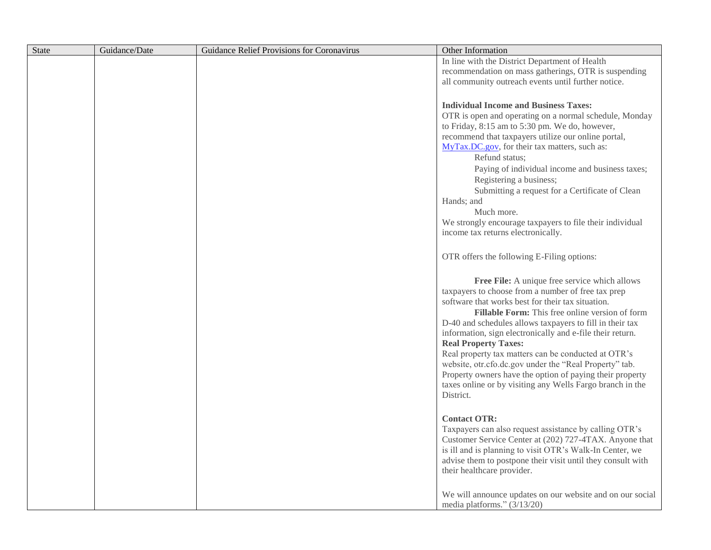| State | Guidance/Date | Guidance Relief Provisions for Coronavirus | Other Information                                                                                           |
|-------|---------------|--------------------------------------------|-------------------------------------------------------------------------------------------------------------|
|       |               |                                            | In line with the District Department of Health                                                              |
|       |               |                                            | recommendation on mass gatherings, OTR is suspending                                                        |
|       |               |                                            | all community outreach events until further notice.                                                         |
|       |               |                                            |                                                                                                             |
|       |               |                                            | <b>Individual Income and Business Taxes:</b>                                                                |
|       |               |                                            | OTR is open and operating on a normal schedule, Monday                                                      |
|       |               |                                            | to Friday, 8:15 am to 5:30 pm. We do, however,                                                              |
|       |               |                                            | recommend that taxpayers utilize our online portal,                                                         |
|       |               |                                            | MyTax.DC.gov, for their tax matters, such as:                                                               |
|       |               |                                            | Refund status;                                                                                              |
|       |               |                                            | Paying of individual income and business taxes;                                                             |
|       |               |                                            | Registering a business;                                                                                     |
|       |               |                                            | Submitting a request for a Certificate of Clean                                                             |
|       |               |                                            | Hands; and                                                                                                  |
|       |               |                                            | Much more.                                                                                                  |
|       |               |                                            | We strongly encourage taxpayers to file their individual                                                    |
|       |               |                                            | income tax returns electronically.                                                                          |
|       |               |                                            |                                                                                                             |
|       |               |                                            | OTR offers the following E-Filing options:                                                                  |
|       |               |                                            |                                                                                                             |
|       |               |                                            | Free File: A unique free service which allows                                                               |
|       |               |                                            | taxpayers to choose from a number of free tax prep                                                          |
|       |               |                                            | software that works best for their tax situation.                                                           |
|       |               |                                            | Fillable Form: This free online version of form<br>D-40 and schedules allows taxpayers to fill in their tax |
|       |               |                                            | information, sign electronically and e-file their return.                                                   |
|       |               |                                            | <b>Real Property Taxes:</b>                                                                                 |
|       |               |                                            | Real property tax matters can be conducted at OTR's                                                         |
|       |               |                                            | website, otr.cfo.dc.gov under the "Real Property" tab.                                                      |
|       |               |                                            | Property owners have the option of paying their property                                                    |
|       |               |                                            | taxes online or by visiting any Wells Fargo branch in the                                                   |
|       |               |                                            | District.                                                                                                   |
|       |               |                                            |                                                                                                             |
|       |               |                                            | <b>Contact OTR:</b>                                                                                         |
|       |               |                                            | Taxpayers can also request assistance by calling OTR's                                                      |
|       |               |                                            | Customer Service Center at (202) 727-4TAX. Anyone that                                                      |
|       |               |                                            | is ill and is planning to visit OTR's Walk-In Center, we                                                    |
|       |               |                                            | advise them to postpone their visit until they consult with                                                 |
|       |               |                                            | their healthcare provider.                                                                                  |
|       |               |                                            |                                                                                                             |
|       |               |                                            | We will announce updates on our website and on our social                                                   |
|       |               |                                            | media platforms." (3/13/20)                                                                                 |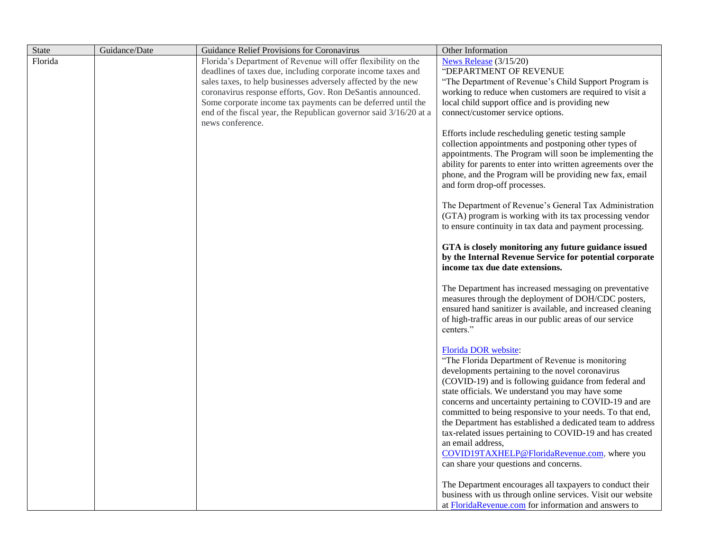| <b>State</b> | Guidance/Date | Guidance Relief Provisions for Coronavirus                        | Other Information                                                                                                                                                                                                                                                                                                                                                                                                                                                                                                                                                                                           |
|--------------|---------------|-------------------------------------------------------------------|-------------------------------------------------------------------------------------------------------------------------------------------------------------------------------------------------------------------------------------------------------------------------------------------------------------------------------------------------------------------------------------------------------------------------------------------------------------------------------------------------------------------------------------------------------------------------------------------------------------|
| Florida      |               | Florida's Department of Revenue will offer flexibility on the     | News Release (3/15/20)                                                                                                                                                                                                                                                                                                                                                                                                                                                                                                                                                                                      |
|              |               | deadlines of taxes due, including corporate income taxes and      | "DEPARTMENT OF REVENUE                                                                                                                                                                                                                                                                                                                                                                                                                                                                                                                                                                                      |
|              |               | sales taxes, to help businesses adversely affected by the new     | "The Department of Revenue's Child Support Program is                                                                                                                                                                                                                                                                                                                                                                                                                                                                                                                                                       |
|              |               | coronavirus response efforts, Gov. Ron DeSantis announced.        | working to reduce when customers are required to visit a                                                                                                                                                                                                                                                                                                                                                                                                                                                                                                                                                    |
|              |               | Some corporate income tax payments can be deferred until the      | local child support office and is providing new                                                                                                                                                                                                                                                                                                                                                                                                                                                                                                                                                             |
|              |               | end of the fiscal year, the Republican governor said 3/16/20 at a | connect/customer service options.                                                                                                                                                                                                                                                                                                                                                                                                                                                                                                                                                                           |
|              |               | news conference.                                                  | Efforts include rescheduling genetic testing sample<br>collection appointments and postponing other types of<br>appointments. The Program will soon be implementing the<br>ability for parents to enter into written agreements over the<br>phone, and the Program will be providing new fax, email<br>and form drop-off processes.<br>The Department of Revenue's General Tax Administration                                                                                                                                                                                                               |
|              |               |                                                                   | (GTA) program is working with its tax processing vendor<br>to ensure continuity in tax data and payment processing.                                                                                                                                                                                                                                                                                                                                                                                                                                                                                         |
|              |               |                                                                   | GTA is closely monitoring any future guidance issued<br>by the Internal Revenue Service for potential corporate<br>income tax due date extensions.                                                                                                                                                                                                                                                                                                                                                                                                                                                          |
|              |               |                                                                   | The Department has increased messaging on preventative<br>measures through the deployment of DOH/CDC posters,<br>ensured hand sanitizer is available, and increased cleaning<br>of high-traffic areas in our public areas of our service<br>centers."                                                                                                                                                                                                                                                                                                                                                       |
|              |               |                                                                   | Florida DOR website:<br>"The Florida Department of Revenue is monitoring<br>developments pertaining to the novel coronavirus<br>(COVID-19) and is following guidance from federal and<br>state officials. We understand you may have some<br>concerns and uncertainty pertaining to COVID-19 and are<br>committed to being responsive to your needs. To that end,<br>the Department has established a dedicated team to address<br>tax-related issues pertaining to COVID-19 and has created<br>an email address,<br>COVID19TAXHELP@FloridaRevenue.com, where you<br>can share your questions and concerns. |
|              |               |                                                                   | The Department encourages all taxpayers to conduct their<br>business with us through online services. Visit our website<br>at FloridaRevenue.com for information and answers to                                                                                                                                                                                                                                                                                                                                                                                                                             |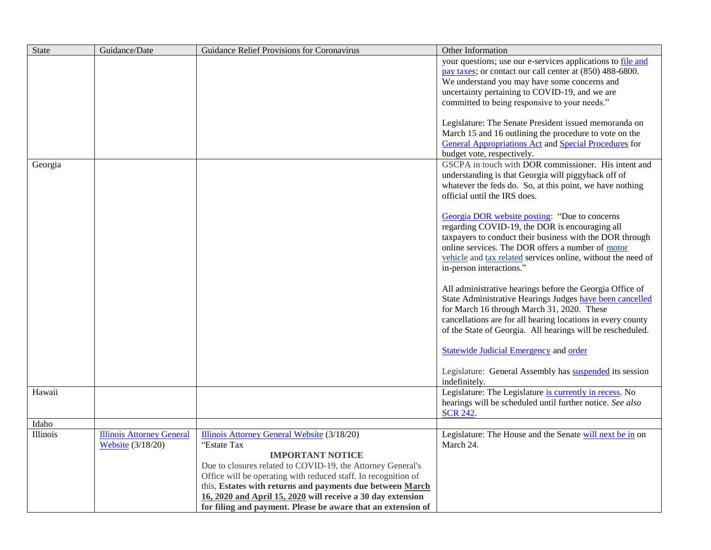| <b>State</b> | Guidance/Date                    | Guidance Relief Provisions for Coronavirus                     | Other Information                                                               |
|--------------|----------------------------------|----------------------------------------------------------------|---------------------------------------------------------------------------------|
|              |                                  |                                                                | your questions; use our e-services applications to file and                     |
|              |                                  |                                                                | pay taxes; or contact our call center at (850) 488-6800.                        |
|              |                                  |                                                                | We understand you may have some concerns and                                    |
|              |                                  |                                                                | uncertainty pertaining to COVID-19, and we are                                  |
|              |                                  |                                                                | committed to being responsive to your needs."                                   |
|              |                                  |                                                                | Legislature: The Senate President issued memoranda on                           |
|              |                                  |                                                                | March 15 and 16 outlining the procedure to vote on the                          |
|              |                                  |                                                                | <b>General Appropriations Act and Special Procedures for</b>                    |
|              |                                  |                                                                | budget vote, respectively.                                                      |
| Georgia      |                                  |                                                                | GSCPA in touch with DOR commissioner. His intent and                            |
|              |                                  |                                                                | understanding is that Georgia will piggyback off of                             |
|              |                                  |                                                                | whatever the feds do. So, at this point, we have nothing                        |
|              |                                  |                                                                | official until the IRS does.                                                    |
|              |                                  |                                                                | Georgia DOR website posting: "Due to concerns                                   |
|              |                                  |                                                                | regarding COVID-19, the DOR is encouraging all                                  |
|              |                                  |                                                                | taxpayers to conduct their business with the DOR through                        |
|              |                                  |                                                                | online services. The DOR offers a number of motor                               |
|              |                                  |                                                                | vehicle and tax related services online, without the need of                    |
|              |                                  |                                                                | in-person interactions."                                                        |
|              |                                  |                                                                | All administrative hearings before the Georgia Office of                        |
|              |                                  |                                                                | State Administrative Hearings Judges have been cancelled                        |
|              |                                  |                                                                | for March 16 through March 31, 2020. These                                      |
|              |                                  |                                                                | cancellations are for all hearing locations in every county                     |
|              |                                  |                                                                | of the State of Georgia. All hearings will be rescheduled.                      |
|              |                                  |                                                                | <b>Statewide Judicial Emergency and order</b>                                   |
|              |                                  |                                                                | Legislature: General Assembly has <b>suspended</b> its session<br>indefinitely. |
| Hawaii       |                                  |                                                                | Legislature: The Legislature is currently in recess. No                         |
|              |                                  |                                                                | hearings will be scheduled until further notice. See also                       |
| Idaho        |                                  |                                                                | <b>SCR 242.</b>                                                                 |
| Illinois     | <b>Illinois Attorney General</b> | Illinois Attorney General Website (3/18/20)                    | Legislature: The House and the Senate will next be in on                        |
|              | <b>Website</b> (3/18/20)         | "Estate Tax                                                    | March 24.                                                                       |
|              |                                  | <b>IMPORTANT NOTICE</b>                                        |                                                                                 |
|              |                                  | Due to closures related to COVID-19, the Attorney General's    |                                                                                 |
|              |                                  | Office will be operating with reduced staff. In recognition of |                                                                                 |
|              |                                  | this, Estates with returns and payments due between March      |                                                                                 |
|              |                                  | 16, 2020 and April 15, 2020 will receive a 30 day extension    |                                                                                 |
|              |                                  | for filing and payment. Please be aware that an extension of   |                                                                                 |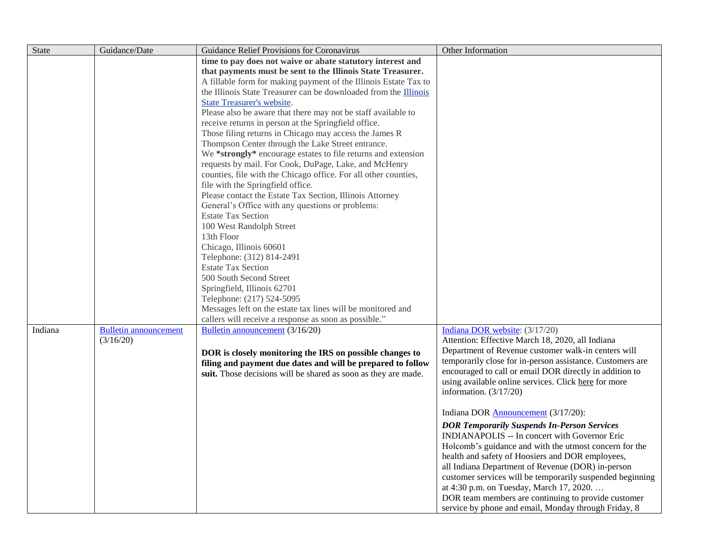| State   | Guidance/Date                | Guidance Relief Provisions for Coronavirus                                               | Other Information                                         |
|---------|------------------------------|------------------------------------------------------------------------------------------|-----------------------------------------------------------|
|         |                              | time to pay does not waive or abate statutory interest and                               |                                                           |
|         |                              | that payments must be sent to the Illinois State Treasurer.                              |                                                           |
|         |                              | A fillable form for making payment of the Illinois Estate Tax to                         |                                                           |
|         |                              | the Illinois State Treasurer can be downloaded from the Illinois                         |                                                           |
|         |                              | <b>State Treasurer's website.</b>                                                        |                                                           |
|         |                              | Please also be aware that there may not be staff available to                            |                                                           |
|         |                              | receive returns in person at the Springfield office.                                     |                                                           |
|         |                              | Those filing returns in Chicago may access the James R                                   |                                                           |
|         |                              | Thompson Center through the Lake Street entrance.                                        |                                                           |
|         |                              | We *strongly* encourage estates to file returns and extension                            |                                                           |
|         |                              | requests by mail. For Cook, DuPage, Lake, and McHenry                                    |                                                           |
|         |                              | counties, file with the Chicago office. For all other counties,                          |                                                           |
|         |                              | file with the Springfield office.                                                        |                                                           |
|         |                              | Please contact the Estate Tax Section, Illinois Attorney                                 |                                                           |
|         |                              | General's Office with any questions or problems:                                         |                                                           |
|         |                              | <b>Estate Tax Section</b>                                                                |                                                           |
|         |                              | 100 West Randolph Street                                                                 |                                                           |
|         |                              | 13th Floor                                                                               |                                                           |
|         |                              | Chicago, Illinois 60601                                                                  |                                                           |
|         |                              | Telephone: (312) 814-2491                                                                |                                                           |
|         |                              | <b>Estate Tax Section</b>                                                                |                                                           |
|         |                              | 500 South Second Street                                                                  |                                                           |
|         |                              | Springfield, Illinois 62701                                                              |                                                           |
|         |                              | Telephone: (217) 524-5095<br>Messages left on the estate tax lines will be monitored and |                                                           |
|         |                              | callers will receive a response as soon as possible."                                    |                                                           |
| Indiana | <b>Bulletin announcement</b> | Bulletin announcement (3/16/20)                                                          | Indiana DOR website: (3/17/20)                            |
|         | (3/16/20)                    |                                                                                          | Attention: Effective March 18, 2020, all Indiana          |
|         |                              | DOR is closely monitoring the IRS on possible changes to                                 | Department of Revenue customer walk-in centers will       |
|         |                              | filing and payment due dates and will be prepared to follow                              | temporarily close for in-person assistance. Customers are |
|         |                              | suit. Those decisions will be shared as soon as they are made.                           | encouraged to call or email DOR directly in addition to   |
|         |                              |                                                                                          | using available online services. Click here for more      |
|         |                              |                                                                                          | information. $(3/17/20)$                                  |
|         |                              |                                                                                          |                                                           |
|         |                              |                                                                                          | Indiana DOR Announcement (3/17/20):                       |
|         |                              |                                                                                          | <b>DOR Temporarily Suspends In-Person Services</b>        |
|         |                              |                                                                                          | INDIANAPOLIS -- In concert with Governor Eric             |
|         |                              |                                                                                          | Holcomb's guidance and with the utmost concern for the    |
|         |                              |                                                                                          | health and safety of Hoosiers and DOR employees,          |
|         |                              |                                                                                          | all Indiana Department of Revenue (DOR) in-person         |
|         |                              |                                                                                          | customer services will be temporarily suspended beginning |
|         |                              |                                                                                          | at 4:30 p.m. on Tuesday, March 17, 2020.                  |
|         |                              |                                                                                          | DOR team members are continuing to provide customer       |
|         |                              |                                                                                          | service by phone and email, Monday through Friday, 8      |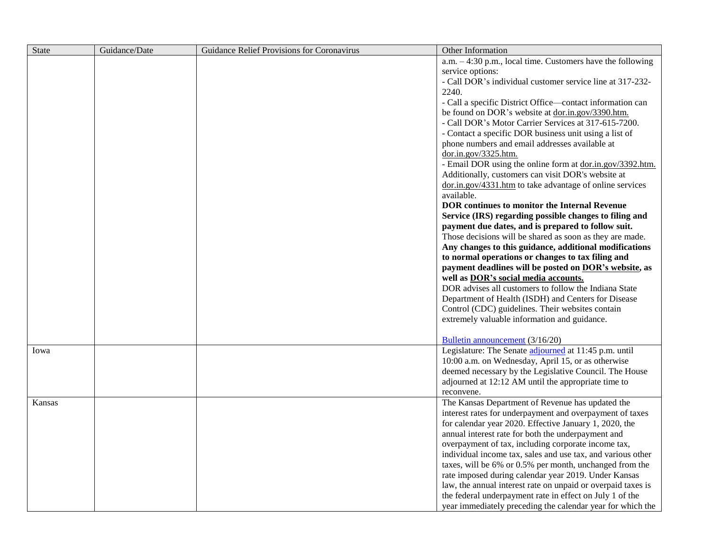| State  | Guidance/Date | Guidance Relief Provisions for Coronavirus | Other Information                                            |
|--------|---------------|--------------------------------------------|--------------------------------------------------------------|
|        |               |                                            | a.m. $-4:30$ p.m., local time. Customers have the following  |
|        |               |                                            | service options:                                             |
|        |               |                                            | - Call DOR's individual customer service line at 317-232-    |
|        |               |                                            | 2240.                                                        |
|        |               |                                            | - Call a specific District Office—contact information can    |
|        |               |                                            | be found on DOR's website at dor.in.gov/3390.htm.            |
|        |               |                                            | - Call DOR's Motor Carrier Services at 317-615-7200.         |
|        |               |                                            | - Contact a specific DOR business unit using a list of       |
|        |               |                                            | phone numbers and email addresses available at               |
|        |               |                                            | dor.in.gov/3325.htm.                                         |
|        |               |                                            | - Email DOR using the online form at dor.in.gov/3392.htm.    |
|        |               |                                            | Additionally, customers can visit DOR's website at           |
|        |               |                                            | dor.in.gov/4331.htm to take advantage of online services     |
|        |               |                                            | available.                                                   |
|        |               |                                            | <b>DOR</b> continues to monitor the Internal Revenue         |
|        |               |                                            | Service (IRS) regarding possible changes to filing and       |
|        |               |                                            | payment due dates, and is prepared to follow suit.           |
|        |               |                                            | Those decisions will be shared as soon as they are made.     |
|        |               |                                            | Any changes to this guidance, additional modifications       |
|        |               |                                            | to normal operations or changes to tax filing and            |
|        |               |                                            | payment deadlines will be posted on DOR's website, as        |
|        |               |                                            | well as DOR's social media accounts.                         |
|        |               |                                            | DOR advises all customers to follow the Indiana State        |
|        |               |                                            | Department of Health (ISDH) and Centers for Disease          |
|        |               |                                            | Control (CDC) guidelines. Their websites contain             |
|        |               |                                            | extremely valuable information and guidance.                 |
|        |               |                                            |                                                              |
|        |               |                                            | Bulletin announcement (3/16/20)                              |
| Iowa   |               |                                            | Legislature: The Senate adjourned at 11:45 p.m. until        |
|        |               |                                            | 10:00 a.m. on Wednesday, April 15, or as otherwise           |
|        |               |                                            | deemed necessary by the Legislative Council. The House       |
|        |               |                                            | adjourned at 12:12 AM until the appropriate time to          |
|        |               |                                            | reconvene.                                                   |
| Kansas |               |                                            | The Kansas Department of Revenue has updated the             |
|        |               |                                            | interest rates for underpayment and overpayment of taxes     |
|        |               |                                            | for calendar year 2020. Effective January 1, 2020, the       |
|        |               |                                            | annual interest rate for both the underpayment and           |
|        |               |                                            | overpayment of tax, including corporate income tax,          |
|        |               |                                            | individual income tax, sales and use tax, and various other  |
|        |               |                                            | taxes, will be 6% or 0.5% per month, unchanged from the      |
|        |               |                                            | rate imposed during calendar year 2019. Under Kansas         |
|        |               |                                            | law, the annual interest rate on unpaid or overpaid taxes is |
|        |               |                                            | the federal underpayment rate in effect on July 1 of the     |
|        |               |                                            | year immediately preceding the calendar year for which the   |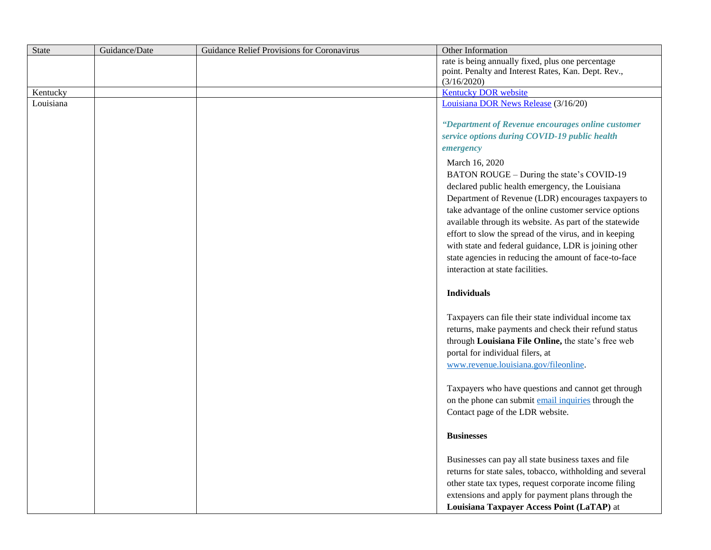| State     | Guidance/Date | Guidance Relief Provisions for Coronavirus | Other Information                                                                                                                                                                                                                                                                                                                                                                                                                                                                                         |
|-----------|---------------|--------------------------------------------|-----------------------------------------------------------------------------------------------------------------------------------------------------------------------------------------------------------------------------------------------------------------------------------------------------------------------------------------------------------------------------------------------------------------------------------------------------------------------------------------------------------|
|           |               |                                            | rate is being annually fixed, plus one percentage                                                                                                                                                                                                                                                                                                                                                                                                                                                         |
|           |               |                                            | point. Penalty and Interest Rates, Kan. Dept. Rev.,                                                                                                                                                                                                                                                                                                                                                                                                                                                       |
|           |               |                                            | (3/16/2020)                                                                                                                                                                                                                                                                                                                                                                                                                                                                                               |
| Kentucky  |               |                                            | <b>Kentucky DOR website</b>                                                                                                                                                                                                                                                                                                                                                                                                                                                                               |
| Louisiana |               |                                            | Louisiana DOR News Release (3/16/20)                                                                                                                                                                                                                                                                                                                                                                                                                                                                      |
|           |               |                                            | "Department of Revenue encourages online customer<br>service options during COVID-19 public health<br>emergency                                                                                                                                                                                                                                                                                                                                                                                           |
|           |               |                                            | March 16, 2020<br>BATON ROUGE - During the state's COVID-19<br>declared public health emergency, the Louisiana<br>Department of Revenue (LDR) encourages taxpayers to<br>take advantage of the online customer service options<br>available through its website. As part of the statewide<br>effort to slow the spread of the virus, and in keeping<br>with state and federal guidance, LDR is joining other<br>state agencies in reducing the amount of face-to-face<br>interaction at state facilities. |
|           |               |                                            | <b>Individuals</b>                                                                                                                                                                                                                                                                                                                                                                                                                                                                                        |
|           |               |                                            | Taxpayers can file their state individual income tax<br>returns, make payments and check their refund status<br>through Louisiana File Online, the state's free web<br>portal for individual filers, at<br>www.revenue.louisiana.gov/fileonline.                                                                                                                                                                                                                                                          |
|           |               |                                            | Taxpayers who have questions and cannot get through<br>on the phone can submit email inquiries through the<br>Contact page of the LDR website.                                                                                                                                                                                                                                                                                                                                                            |
|           |               |                                            | <b>Businesses</b>                                                                                                                                                                                                                                                                                                                                                                                                                                                                                         |
|           |               |                                            | Businesses can pay all state business taxes and file<br>returns for state sales, tobacco, withholding and several<br>other state tax types, request corporate income filing<br>extensions and apply for payment plans through the<br>Louisiana Taxpayer Access Point (LaTAP) at                                                                                                                                                                                                                           |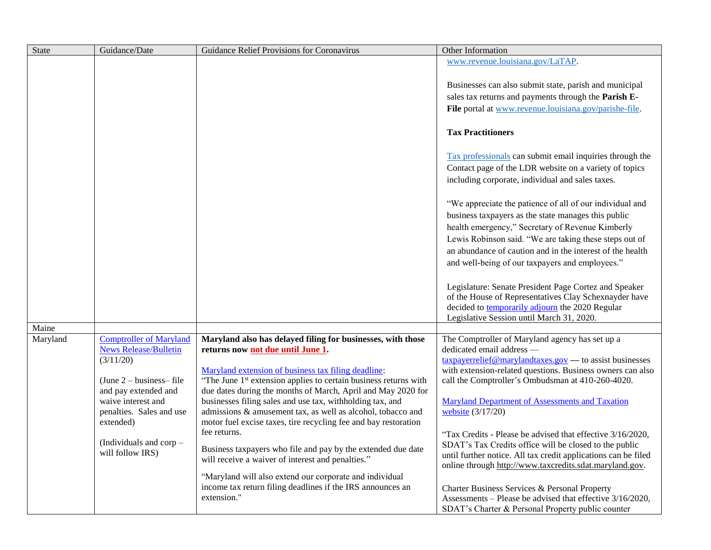| <b>State</b> | Guidance/Date                                                  | Guidance Relief Provisions for Coronavirus                                                       | Other Information                                                                                                    |
|--------------|----------------------------------------------------------------|--------------------------------------------------------------------------------------------------|----------------------------------------------------------------------------------------------------------------------|
|              |                                                                |                                                                                                  | www.revenue.louisiana.gov/LaTAP.                                                                                     |
|              |                                                                |                                                                                                  |                                                                                                                      |
|              |                                                                |                                                                                                  | Businesses can also submit state, parish and municipal                                                               |
|              |                                                                |                                                                                                  | sales tax returns and payments through the Parish E-                                                                 |
|              |                                                                |                                                                                                  | File portal at www.revenue.louisiana.gov/parishe-file.                                                               |
|              |                                                                |                                                                                                  |                                                                                                                      |
|              |                                                                |                                                                                                  | <b>Tax Practitioners</b>                                                                                             |
|              |                                                                |                                                                                                  | Tax professionals can submit email inquiries through the                                                             |
|              |                                                                |                                                                                                  | Contact page of the LDR website on a variety of topics                                                               |
|              |                                                                |                                                                                                  | including corporate, individual and sales taxes.                                                                     |
|              |                                                                |                                                                                                  | "We appreciate the patience of all of our individual and                                                             |
|              |                                                                |                                                                                                  | business taxpayers as the state manages this public                                                                  |
|              |                                                                |                                                                                                  | health emergency," Secretary of Revenue Kimberly                                                                     |
|              |                                                                |                                                                                                  | Lewis Robinson said. "We are taking these steps out of                                                               |
|              |                                                                |                                                                                                  | an abundance of caution and in the interest of the health                                                            |
|              |                                                                |                                                                                                  | and well-being of our taxpayers and employees."                                                                      |
|              |                                                                |                                                                                                  |                                                                                                                      |
|              |                                                                |                                                                                                  | Legislature: Senate President Page Cortez and Speaker<br>of the House of Representatives Clay Schexnayder have       |
|              |                                                                |                                                                                                  | decided to <b>temporarily adjourn</b> the 2020 Regular                                                               |
|              |                                                                |                                                                                                  | Legislative Session until March 31, 2020.                                                                            |
| Maine        |                                                                |                                                                                                  |                                                                                                                      |
| Maryland     | <b>Comptroller of Maryland</b><br><b>News Release/Bulletin</b> | Maryland also has delayed filing for businesses, with those<br>returns now not due until June 1. | The Comptroller of Maryland agency has set up a<br>dedicated email address -                                         |
|              | (3/11/20)                                                      |                                                                                                  | $\frac{taxpaverrelief@marylandtaxes.gov}{t}$ to assist businesses                                                    |
|              |                                                                | Maryland extension of business tax filing deadline:                                              | with extension-related questions. Business owners can also                                                           |
|              | (June $2$ – business– file                                     | "The June 1 <sup>st</sup> extension applies to certain business returns with                     | call the Comptroller's Ombudsman at 410-260-4020.                                                                    |
|              | and pay extended and                                           | due dates during the months of March, April and May 2020 for                                     |                                                                                                                      |
|              | waive interest and                                             | businesses filing sales and use tax, withholding tax, and                                        | Maryland Department of Assessments and Taxation                                                                      |
|              | penalties. Sales and use                                       | admissions & amusement tax, as well as alcohol, tobacco and                                      | website (3/17/20)                                                                                                    |
|              | extended)                                                      | motor fuel excise taxes, tire recycling fee and bay restoration<br>fee returns.                  |                                                                                                                      |
|              | (Individuals and corp-                                         |                                                                                                  | "Tax Credits - Please be advised that effective 3/16/2020,<br>SDAT's Tax Credits office will be closed to the public |
|              | will follow IRS)                                               | Business taxpayers who file and pay by the extended due date                                     | until further notice. All tax credit applications can be filed                                                       |
|              |                                                                | will receive a waiver of interest and penalties."                                                | online through http://www.taxcredits.sdat.maryland.gov.                                                              |
|              |                                                                | "Maryland will also extend our corporate and individual                                          |                                                                                                                      |
|              |                                                                | income tax return filing deadlines if the IRS announces an                                       | Charter Business Services & Personal Property                                                                        |
|              |                                                                | extension."                                                                                      | Assessments – Please be advised that effective $3/16/2020$ ,                                                         |
|              |                                                                |                                                                                                  | SDAT's Charter & Personal Property public counter                                                                    |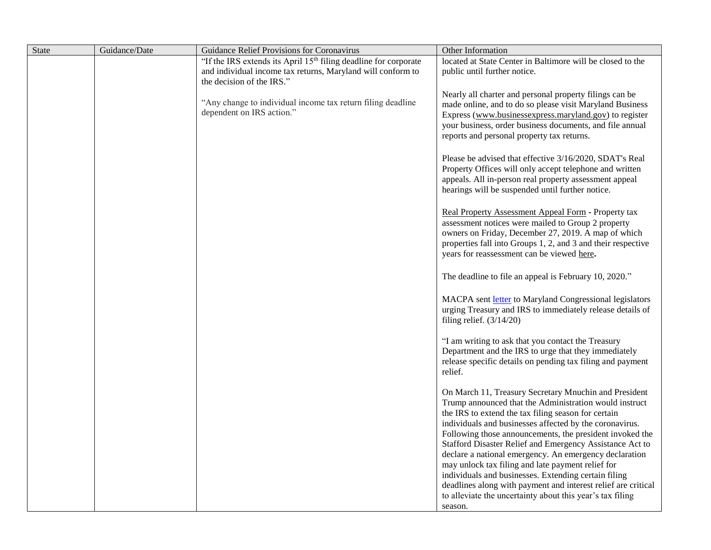| State | Guidance/Date | Guidance Relief Provisions for Coronavirus                                               | Other Information                                                                                         |
|-------|---------------|------------------------------------------------------------------------------------------|-----------------------------------------------------------------------------------------------------------|
|       |               | "If the IRS extends its April 15 <sup>th</sup> filing deadline for corporate             | located at State Center in Baltimore will be closed to the                                                |
|       |               | and individual income tax returns, Maryland will conform to                              | public until further notice.                                                                              |
|       |               | the decision of the IRS."                                                                |                                                                                                           |
|       |               |                                                                                          | Nearly all charter and personal property filings can be                                                   |
|       |               | "Any change to individual income tax return filing deadline<br>dependent on IRS action." | made online, and to do so please visit Maryland Business                                                  |
|       |               |                                                                                          | Express (www.businessexpress.maryland.gov) to register                                                    |
|       |               |                                                                                          | your business, order business documents, and file annual                                                  |
|       |               |                                                                                          | reports and personal property tax returns.                                                                |
|       |               |                                                                                          | Please be advised that effective 3/16/2020, SDAT's Real                                                   |
|       |               |                                                                                          | Property Offices will only accept telephone and written                                                   |
|       |               |                                                                                          | appeals. All in-person real property assessment appeal                                                    |
|       |               |                                                                                          | hearings will be suspended until further notice.                                                          |
|       |               |                                                                                          |                                                                                                           |
|       |               |                                                                                          | Real Property Assessment Appeal Form - Property tax                                                       |
|       |               |                                                                                          | assessment notices were mailed to Group 2 property                                                        |
|       |               |                                                                                          | owners on Friday, December 27, 2019. A map of which                                                       |
|       |               |                                                                                          | properties fall into Groups 1, 2, and 3 and their respective                                              |
|       |               |                                                                                          | years for reassessment can be viewed here.                                                                |
|       |               |                                                                                          |                                                                                                           |
|       |               |                                                                                          | The deadline to file an appeal is February 10, 2020."                                                     |
|       |               |                                                                                          | MACPA sent letter to Maryland Congressional legislators                                                   |
|       |               |                                                                                          | urging Treasury and IRS to immediately release details of                                                 |
|       |               |                                                                                          | filing relief. $(3/14/20)$                                                                                |
|       |               |                                                                                          |                                                                                                           |
|       |               |                                                                                          | "I am writing to ask that you contact the Treasury                                                        |
|       |               |                                                                                          | Department and the IRS to urge that they immediately                                                      |
|       |               |                                                                                          | release specific details on pending tax filing and payment                                                |
|       |               |                                                                                          | relief.                                                                                                   |
|       |               |                                                                                          | On March 11, Treasury Secretary Mnuchin and President                                                     |
|       |               |                                                                                          | Trump announced that the Administration would instruct                                                    |
|       |               |                                                                                          | the IRS to extend the tax filing season for certain                                                       |
|       |               |                                                                                          | individuals and businesses affected by the coronavirus.                                                   |
|       |               |                                                                                          | Following those announcements, the president invoked the                                                  |
|       |               |                                                                                          | Stafford Disaster Relief and Emergency Assistance Act to                                                  |
|       |               |                                                                                          | declare a national emergency. An emergency declaration                                                    |
|       |               |                                                                                          | may unlock tax filing and late payment relief for<br>individuals and businesses. Extending certain filing |
|       |               |                                                                                          | deadlines along with payment and interest relief are critical                                             |
|       |               |                                                                                          | to alleviate the uncertainty about this year's tax filing                                                 |
|       |               |                                                                                          | season.                                                                                                   |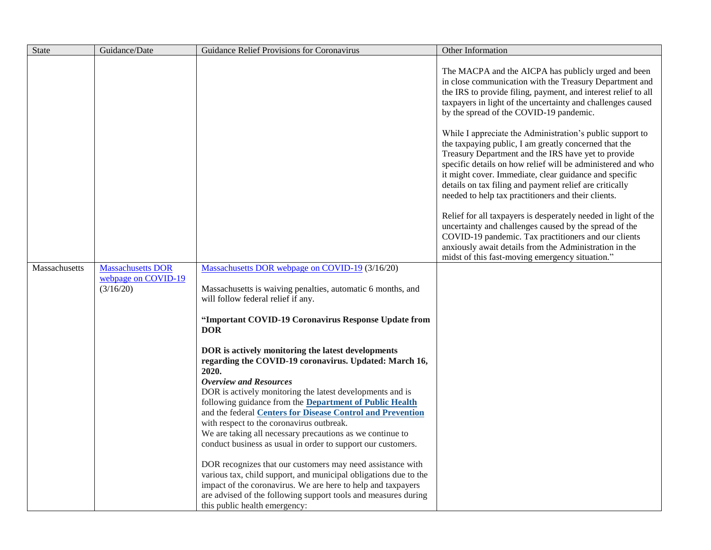| <b>State</b>  | Guidance/Date                                                | Guidance Relief Provisions for Coronavirus                                                                                                                                                                                                                                                        | Other Information                                                                                                                                                                                                                                                                                                                                                                                                    |
|---------------|--------------------------------------------------------------|---------------------------------------------------------------------------------------------------------------------------------------------------------------------------------------------------------------------------------------------------------------------------------------------------|----------------------------------------------------------------------------------------------------------------------------------------------------------------------------------------------------------------------------------------------------------------------------------------------------------------------------------------------------------------------------------------------------------------------|
|               |                                                              |                                                                                                                                                                                                                                                                                                   | The MACPA and the AICPA has publicly urged and been<br>in close communication with the Treasury Department and<br>the IRS to provide filing, payment, and interest relief to all<br>taxpayers in light of the uncertainty and challenges caused<br>by the spread of the COVID-19 pandemic.                                                                                                                           |
|               |                                                              |                                                                                                                                                                                                                                                                                                   | While I appreciate the Administration's public support to<br>the taxpaying public, I am greatly concerned that the<br>Treasury Department and the IRS have yet to provide<br>specific details on how relief will be administered and who<br>it might cover. Immediate, clear guidance and specific<br>details on tax filing and payment relief are critically<br>needed to help tax practitioners and their clients. |
|               |                                                              |                                                                                                                                                                                                                                                                                                   | Relief for all taxpayers is desperately needed in light of the<br>uncertainty and challenges caused by the spread of the<br>COVID-19 pandemic. Tax practitioners and our clients<br>anxiously await details from the Administration in the<br>midst of this fast-moving emergency situation."                                                                                                                        |
| Massachusetts | <b>Massachusetts DOR</b><br>webpage on COVID-19<br>(3/16/20) | Massachusetts DOR webpage on COVID-19 (3/16/20)<br>Massachusetts is waiving penalties, automatic 6 months, and<br>will follow federal relief if any.                                                                                                                                              |                                                                                                                                                                                                                                                                                                                                                                                                                      |
|               |                                                              | "Important COVID-19 Coronavirus Response Update from<br><b>DOR</b>                                                                                                                                                                                                                                |                                                                                                                                                                                                                                                                                                                                                                                                                      |
|               |                                                              | DOR is actively monitoring the latest developments<br>regarding the COVID-19 coronavirus. Updated: March 16,<br>2020.                                                                                                                                                                             |                                                                                                                                                                                                                                                                                                                                                                                                                      |
|               |                                                              | <b>Overview and Resources</b><br>DOR is actively monitoring the latest developments and is<br>following guidance from the <b>Department of Public Health</b><br>and the federal <b>Centers for Disease Control and Prevention</b><br>with respect to the coronavirus outbreak.                    |                                                                                                                                                                                                                                                                                                                                                                                                                      |
|               |                                                              | We are taking all necessary precautions as we continue to<br>conduct business as usual in order to support our customers.                                                                                                                                                                         |                                                                                                                                                                                                                                                                                                                                                                                                                      |
|               |                                                              | DOR recognizes that our customers may need assistance with<br>various tax, child support, and municipal obligations due to the<br>impact of the coronavirus. We are here to help and taxpayers<br>are advised of the following support tools and measures during<br>this public health emergency: |                                                                                                                                                                                                                                                                                                                                                                                                                      |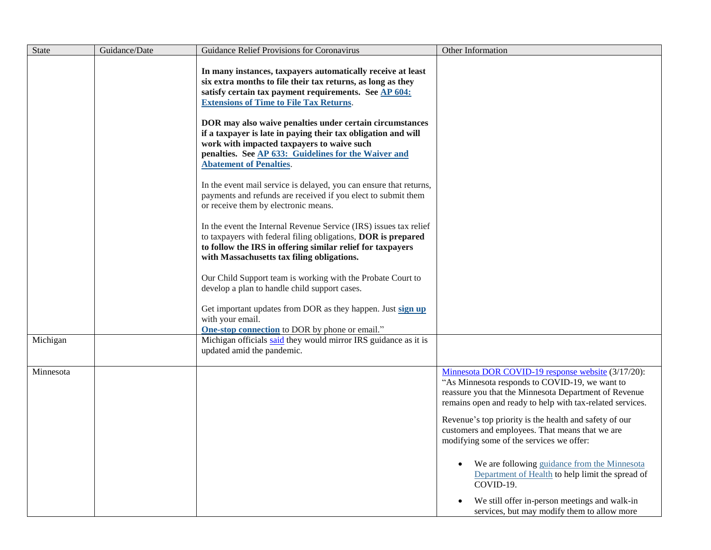| <b>State</b> | Guidance/Date | Guidance Relief Provisions for Coronavirus                                                                                                                                                                                                                                                                                                                                                                                                                                                                 | Other Information                                                                                                                                                                                                                                                                                                                                                                                                                                                                                                                                     |
|--------------|---------------|------------------------------------------------------------------------------------------------------------------------------------------------------------------------------------------------------------------------------------------------------------------------------------------------------------------------------------------------------------------------------------------------------------------------------------------------------------------------------------------------------------|-------------------------------------------------------------------------------------------------------------------------------------------------------------------------------------------------------------------------------------------------------------------------------------------------------------------------------------------------------------------------------------------------------------------------------------------------------------------------------------------------------------------------------------------------------|
|              |               | In many instances, taxpayers automatically receive at least<br>six extra months to file their tax returns, as long as they<br>satisfy certain tax payment requirements. See AP 604:<br><b>Extensions of Time to File Tax Returns.</b><br>DOR may also waive penalties under certain circumstances<br>if a taxpayer is late in paying their tax obligation and will<br>work with impacted taxpayers to waive such<br>penalties. See AP 633: Guidelines for the Waiver and<br><b>Abatement of Penalties.</b> |                                                                                                                                                                                                                                                                                                                                                                                                                                                                                                                                                       |
|              |               | In the event mail service is delayed, you can ensure that returns,<br>payments and refunds are received if you elect to submit them<br>or receive them by electronic means.<br>In the event the Internal Revenue Service (IRS) issues tax relief<br>to taxpayers with federal filing obligations, DOR is prepared<br>to follow the IRS in offering similar relief for taxpayers<br>with Massachusetts tax filing obligations.                                                                              |                                                                                                                                                                                                                                                                                                                                                                                                                                                                                                                                                       |
|              |               | Our Child Support team is working with the Probate Court to<br>develop a plan to handle child support cases.<br>Get important updates from DOR as they happen. Just sign up<br>with your email.<br><b>One-stop connection</b> to DOR by phone or email."                                                                                                                                                                                                                                                   |                                                                                                                                                                                                                                                                                                                                                                                                                                                                                                                                                       |
| Michigan     |               | Michigan officials said they would mirror IRS guidance as it is<br>updated amid the pandemic.                                                                                                                                                                                                                                                                                                                                                                                                              |                                                                                                                                                                                                                                                                                                                                                                                                                                                                                                                                                       |
| Minnesota    |               |                                                                                                                                                                                                                                                                                                                                                                                                                                                                                                            | Minnesota DOR COVID-19 response website (3/17/20):<br>"As Minnesota responds to COVID-19, we want to<br>reassure you that the Minnesota Department of Revenue<br>remains open and ready to help with tax-related services.<br>Revenue's top priority is the health and safety of our<br>customers and employees. That means that we are<br>modifying some of the services we offer:<br>We are following guidance from the Minnesota<br>Department of Health to help limit the spread of<br>COVID-19.<br>We still offer in-person meetings and walk-in |
|              |               |                                                                                                                                                                                                                                                                                                                                                                                                                                                                                                            | services, but may modify them to allow more                                                                                                                                                                                                                                                                                                                                                                                                                                                                                                           |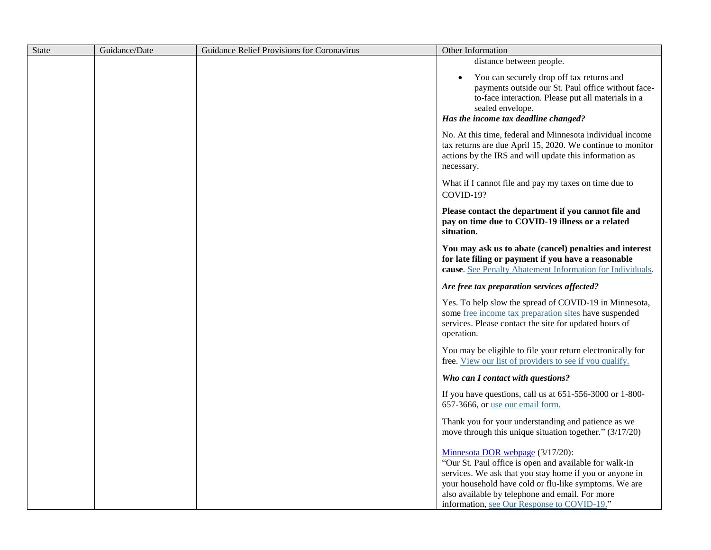| State | Guidance/Date | Guidance Relief Provisions for Coronavirus | Other Information                                                                                                                                                                                                                                                                                                |
|-------|---------------|--------------------------------------------|------------------------------------------------------------------------------------------------------------------------------------------------------------------------------------------------------------------------------------------------------------------------------------------------------------------|
|       |               |                                            | distance between people.                                                                                                                                                                                                                                                                                         |
|       |               |                                            | You can securely drop off tax returns and<br>payments outside our St. Paul office without face-<br>to-face interaction. Please put all materials in a<br>sealed envelope.<br>Has the income tax deadline changed?                                                                                                |
|       |               |                                            | No. At this time, federal and Minnesota individual income<br>tax returns are due April 15, 2020. We continue to monitor<br>actions by the IRS and will update this information as<br>necessary.                                                                                                                  |
|       |               |                                            | What if I cannot file and pay my taxes on time due to<br>COVID-19?                                                                                                                                                                                                                                               |
|       |               |                                            | Please contact the department if you cannot file and<br>pay on time due to COVID-19 illness or a related<br>situation.                                                                                                                                                                                           |
|       |               |                                            | You may ask us to abate (cancel) penalties and interest<br>for late filing or payment if you have a reasonable<br>cause. See Penalty Abatement Information for Individuals.                                                                                                                                      |
|       |               |                                            | Are free tax preparation services affected?                                                                                                                                                                                                                                                                      |
|       |               |                                            | Yes. To help slow the spread of COVID-19 in Minnesota,<br>some free income tax preparation sites have suspended<br>services. Please contact the site for updated hours of<br>operation.                                                                                                                          |
|       |               |                                            | You may be eligible to file your return electronically for<br>free. View our list of providers to see if you qualify.                                                                                                                                                                                            |
|       |               |                                            | Who can I contact with questions?                                                                                                                                                                                                                                                                                |
|       |               |                                            | If you have questions, call us at $651-556-3000$ or $1-800-$<br>657-3666, or use our email form.                                                                                                                                                                                                                 |
|       |               |                                            | Thank you for your understanding and patience as we<br>move through this unique situation together." (3/17/20)                                                                                                                                                                                                   |
|       |               |                                            | Minnesota DOR webpage (3/17/20):<br>"Our St. Paul office is open and available for walk-in<br>services. We ask that you stay home if you or anyone in<br>your household have cold or flu-like symptoms. We are<br>also available by telephone and email. For more<br>information, see Our Response to COVID-19." |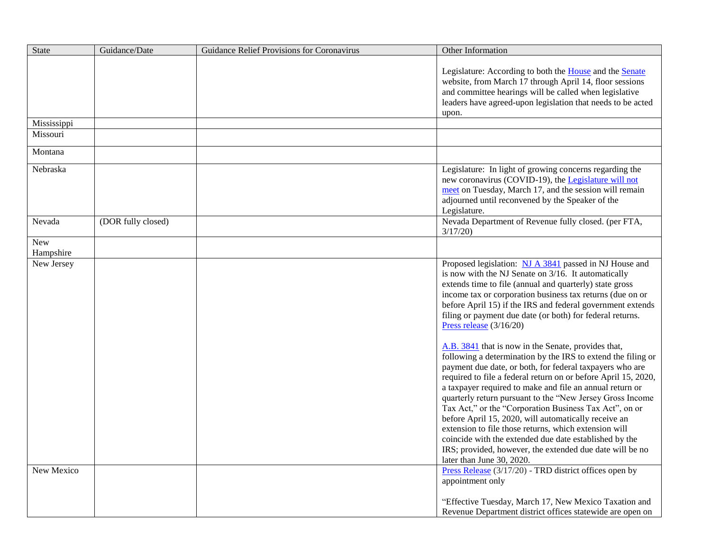| State                   | Guidance/Date      | Guidance Relief Provisions for Coronavirus | Other Information                                                                                                                                                                                                                                                                                                                                                                                                                                                                                                                                                                                                                                                                                                                                                                                                                                                                                                                                                                                                                                                                                         |
|-------------------------|--------------------|--------------------------------------------|-----------------------------------------------------------------------------------------------------------------------------------------------------------------------------------------------------------------------------------------------------------------------------------------------------------------------------------------------------------------------------------------------------------------------------------------------------------------------------------------------------------------------------------------------------------------------------------------------------------------------------------------------------------------------------------------------------------------------------------------------------------------------------------------------------------------------------------------------------------------------------------------------------------------------------------------------------------------------------------------------------------------------------------------------------------------------------------------------------------|
|                         |                    |                                            | Legislature: According to both the <b>House</b> and the <b>Senate</b><br>website, from March 17 through April 14, floor sessions<br>and committee hearings will be called when legislative<br>leaders have agreed-upon legislation that needs to be acted<br>upon.                                                                                                                                                                                                                                                                                                                                                                                                                                                                                                                                                                                                                                                                                                                                                                                                                                        |
| Mississippi             |                    |                                            |                                                                                                                                                                                                                                                                                                                                                                                                                                                                                                                                                                                                                                                                                                                                                                                                                                                                                                                                                                                                                                                                                                           |
| Missouri                |                    |                                            |                                                                                                                                                                                                                                                                                                                                                                                                                                                                                                                                                                                                                                                                                                                                                                                                                                                                                                                                                                                                                                                                                                           |
| Montana                 |                    |                                            |                                                                                                                                                                                                                                                                                                                                                                                                                                                                                                                                                                                                                                                                                                                                                                                                                                                                                                                                                                                                                                                                                                           |
| Nebraska                |                    |                                            | Legislature: In light of growing concerns regarding the<br>new coronavirus (COVID-19), the Legislature will not<br>meet on Tuesday, March 17, and the session will remain<br>adjourned until reconvened by the Speaker of the<br>Legislature.                                                                                                                                                                                                                                                                                                                                                                                                                                                                                                                                                                                                                                                                                                                                                                                                                                                             |
| Nevada                  | (DOR fully closed) |                                            | Nevada Department of Revenue fully closed. (per FTA,<br>3/17/20                                                                                                                                                                                                                                                                                                                                                                                                                                                                                                                                                                                                                                                                                                                                                                                                                                                                                                                                                                                                                                           |
| <b>New</b><br>Hampshire |                    |                                            |                                                                                                                                                                                                                                                                                                                                                                                                                                                                                                                                                                                                                                                                                                                                                                                                                                                                                                                                                                                                                                                                                                           |
| New Jersey              |                    |                                            | Proposed legislation: NJ A 3841 passed in NJ House and<br>is now with the NJ Senate on 3/16. It automatically<br>extends time to file (annual and quarterly) state gross<br>income tax or corporation business tax returns (due on or<br>before April 15) if the IRS and federal government extends<br>filing or payment due date (or both) for federal returns.<br>Press release $(3/16/20)$<br>A.B. 3841 that is now in the Senate, provides that,<br>following a determination by the IRS to extend the filing or<br>payment due date, or both, for federal taxpayers who are<br>required to file a federal return on or before April 15, 2020,<br>a taxpayer required to make and file an annual return or<br>quarterly return pursuant to the "New Jersey Gross Income<br>Tax Act," or the "Corporation Business Tax Act", on or<br>before April 15, 2020, will automatically receive an<br>extension to file those returns, which extension will<br>coincide with the extended due date established by the<br>IRS; provided, however, the extended due date will be no<br>later than June 30, 2020. |
| New Mexico              |                    |                                            | Press Release (3/17/20) - TRD district offices open by<br>appointment only<br>"Effective Tuesday, March 17, New Mexico Taxation and                                                                                                                                                                                                                                                                                                                                                                                                                                                                                                                                                                                                                                                                                                                                                                                                                                                                                                                                                                       |
|                         |                    |                                            | Revenue Department district offices statewide are open on                                                                                                                                                                                                                                                                                                                                                                                                                                                                                                                                                                                                                                                                                                                                                                                                                                                                                                                                                                                                                                                 |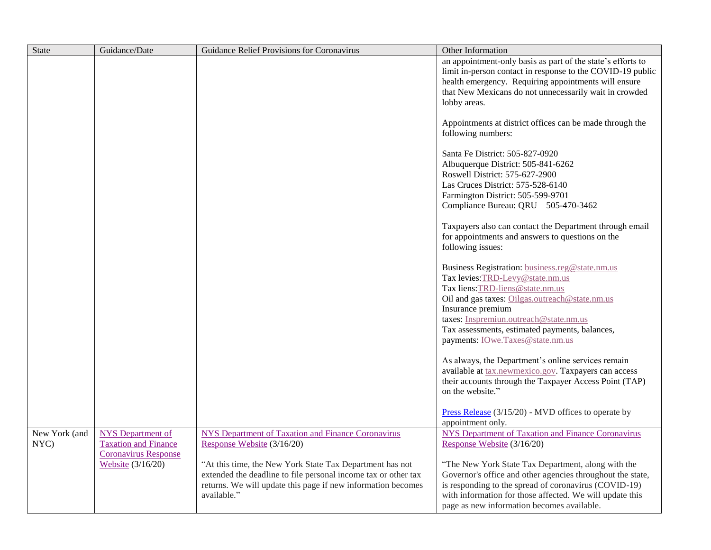| State                 | Guidance/Date                                           | Guidance Relief Provisions for Coronavirus                                                                                                                                                                | Other Information                                                                                                                                                                                                                                                                                                              |
|-----------------------|---------------------------------------------------------|-----------------------------------------------------------------------------------------------------------------------------------------------------------------------------------------------------------|--------------------------------------------------------------------------------------------------------------------------------------------------------------------------------------------------------------------------------------------------------------------------------------------------------------------------------|
|                       |                                                         |                                                                                                                                                                                                           | an appointment-only basis as part of the state's efforts to<br>limit in-person contact in response to the COVID-19 public<br>health emergency. Requiring appointments will ensure<br>that New Mexicans do not unnecessarily wait in crowded<br>lobby areas.                                                                    |
|                       |                                                         |                                                                                                                                                                                                           | Appointments at district offices can be made through the<br>following numbers:                                                                                                                                                                                                                                                 |
|                       |                                                         |                                                                                                                                                                                                           | Santa Fe District: 505-827-0920<br>Albuquerque District: 505-841-6262<br>Roswell District: 575-627-2900<br>Las Cruces District: 575-528-6140<br>Farmington District: 505-599-9701<br>Compliance Bureau: QRU - 505-470-3462                                                                                                     |
|                       |                                                         |                                                                                                                                                                                                           | Taxpayers also can contact the Department through email<br>for appointments and answers to questions on the<br>following issues:                                                                                                                                                                                               |
|                       |                                                         |                                                                                                                                                                                                           | Business Registration: business.reg@state.nm.us<br>Tax levies: TRD-Levy@state.nm.us<br>Tax liens: TRD-liens@state.nm.us<br>Oil and gas taxes: Oilgas.outreach@state.nm.us<br>Insurance premium<br>taxes: Inspremiun.outreach@state.nm.us<br>Tax assessments, estimated payments, balances,<br>payments: IOwe.Taxes@state.nm.us |
|                       |                                                         |                                                                                                                                                                                                           | As always, the Department's online services remain<br>available at tax.newmexico.gov. Taxpayers can access<br>their accounts through the Taxpayer Access Point (TAP)<br>on the website."                                                                                                                                       |
|                       |                                                         |                                                                                                                                                                                                           | Press Release $(3/15/20)$ - MVD offices to operate by<br>appointment only.                                                                                                                                                                                                                                                     |
| New York (and<br>NYC) | <b>NYS</b> Department of<br><b>Taxation and Finance</b> | <b>NYS Department of Taxation and Finance Coronavirus</b><br>Response Website (3/16/20)                                                                                                                   | <b>NYS Department of Taxation and Finance Coronavirus</b><br>Response Website (3/16/20)                                                                                                                                                                                                                                        |
|                       | <b>Coronavirus Response</b><br>Website (3/16/20)        | "At this time, the New York State Tax Department has not<br>extended the deadline to file personal income tax or other tax<br>returns. We will update this page if new information becomes<br>available." | "The New York State Tax Department, along with the<br>Governor's office and other agencies throughout the state,<br>is responding to the spread of coronavirus (COVID-19)<br>with information for those affected. We will update this<br>page as new information becomes available.                                            |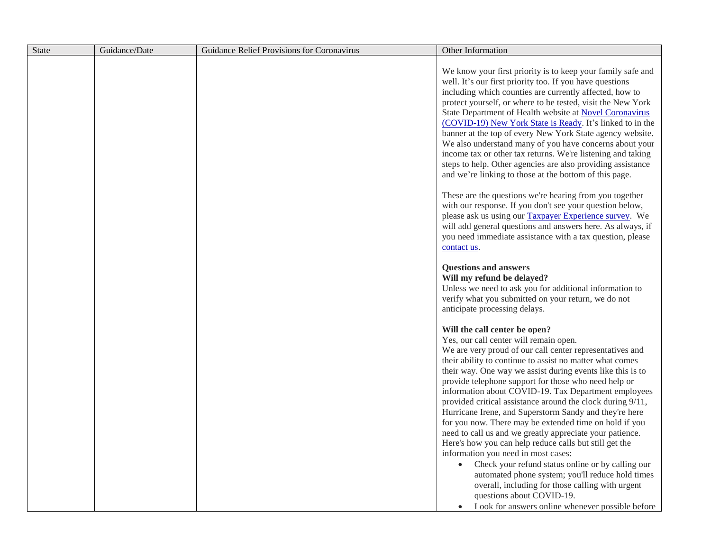| State | Guidance/Date | Guidance Relief Provisions for Coronavirus | Other Information                                                                                                                                                                                                                                                                                                                                                                                                                                                                                                                                                                                                                                                                                                            |
|-------|---------------|--------------------------------------------|------------------------------------------------------------------------------------------------------------------------------------------------------------------------------------------------------------------------------------------------------------------------------------------------------------------------------------------------------------------------------------------------------------------------------------------------------------------------------------------------------------------------------------------------------------------------------------------------------------------------------------------------------------------------------------------------------------------------------|
|       |               |                                            | We know your first priority is to keep your family safe and<br>well. It's our first priority too. If you have questions<br>including which counties are currently affected, how to<br>protect yourself, or where to be tested, visit the New York<br>State Department of Health website at Novel Coronavirus<br>(COVID-19) New York State is Ready. It's linked to in the<br>banner at the top of every New York State agency website.<br>We also understand many of you have concerns about your<br>income tax or other tax returns. We're listening and taking<br>steps to help. Other agencies are also providing assistance<br>and we're linking to those at the bottom of this page.                                    |
|       |               |                                            | These are the questions we're hearing from you together<br>with our response. If you don't see your question below,<br>please ask us using our Taxpayer Experience survey. We<br>will add general questions and answers here. As always, if<br>you need immediate assistance with a tax question, please<br>contact us.                                                                                                                                                                                                                                                                                                                                                                                                      |
|       |               |                                            | <b>Questions and answers</b><br>Will my refund be delayed?<br>Unless we need to ask you for additional information to<br>verify what you submitted on your return, we do not<br>anticipate processing delays.                                                                                                                                                                                                                                                                                                                                                                                                                                                                                                                |
|       |               |                                            | Will the call center be open?<br>Yes, our call center will remain open.<br>We are very proud of our call center representatives and<br>their ability to continue to assist no matter what comes<br>their way. One way we assist during events like this is to<br>provide telephone support for those who need help or<br>information about COVID-19. Tax Department employees<br>provided critical assistance around the clock during 9/11,<br>Hurricane Irene, and Superstorm Sandy and they're here<br>for you now. There may be extended time on hold if you<br>need to call us and we greatly appreciate your patience.<br>Here's how you can help reduce calls but still get the<br>information you need in most cases: |
|       |               |                                            | Check your refund status online or by calling our<br>automated phone system; you'll reduce hold times<br>overall, including for those calling with urgent<br>questions about COVID-19.<br>Look for answers online whenever possible before                                                                                                                                                                                                                                                                                                                                                                                                                                                                                   |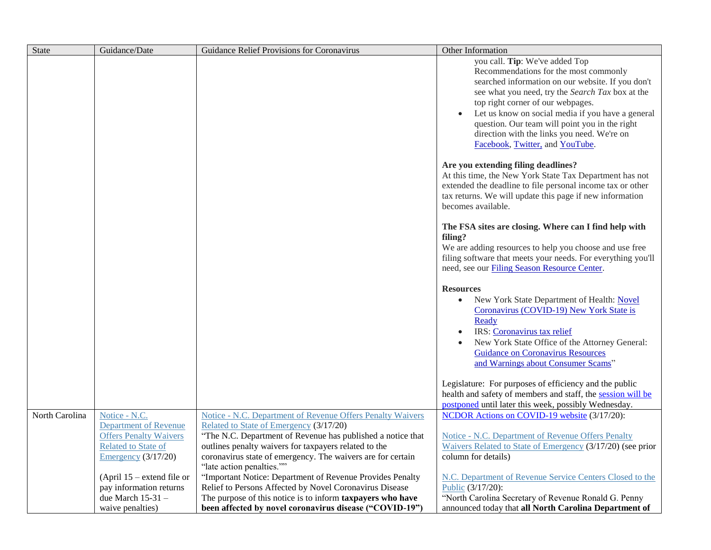| <b>State</b>   | Guidance/Date                                                                                                                  | Guidance Relief Provisions for Coronavirus                                                                                                                                                                                                                                                                                       | Other Information                                                                                                                                                                                                                                                                                                                                                                                              |
|----------------|--------------------------------------------------------------------------------------------------------------------------------|----------------------------------------------------------------------------------------------------------------------------------------------------------------------------------------------------------------------------------------------------------------------------------------------------------------------------------|----------------------------------------------------------------------------------------------------------------------------------------------------------------------------------------------------------------------------------------------------------------------------------------------------------------------------------------------------------------------------------------------------------------|
|                |                                                                                                                                |                                                                                                                                                                                                                                                                                                                                  | you call. Tip: We've added Top<br>Recommendations for the most commonly<br>searched information on our website. If you don't<br>see what you need, try the Search Tax box at the<br>top right corner of our webpages.<br>Let us know on social media if you have a general<br>question. Our team will point you in the right<br>direction with the links you need. We're on<br>Facebook, Twitter, and YouTube. |
|                |                                                                                                                                |                                                                                                                                                                                                                                                                                                                                  | Are you extending filing deadlines?<br>At this time, the New York State Tax Department has not<br>extended the deadline to file personal income tax or other<br>tax returns. We will update this page if new information<br>becomes available.                                                                                                                                                                 |
|                |                                                                                                                                |                                                                                                                                                                                                                                                                                                                                  | The FSA sites are closing. Where can I find help with<br>filing?<br>We are adding resources to help you choose and use free<br>filing software that meets your needs. For everything you'll<br>need, see our Filing Season Resource Center.                                                                                                                                                                    |
|                |                                                                                                                                |                                                                                                                                                                                                                                                                                                                                  | <b>Resources</b><br>New York State Department of Health: Novel<br>$\bullet$<br>Coronavirus (COVID-19) New York State is<br>Ready<br>IRS: Coronavirus tax relief<br>New York State Office of the Attorney General:<br><b>Guidance on Coronavirus Resources</b><br>and Warnings about Consumer Scams"                                                                                                            |
|                |                                                                                                                                |                                                                                                                                                                                                                                                                                                                                  | Legislature: For purposes of efficiency and the public<br>health and safety of members and staff, the session will be<br>postponed until later this week, possibly Wednesday.                                                                                                                                                                                                                                  |
| North Carolina | Notice - N.C.<br><b>Department of Revenue</b><br><b>Offers Penalty Waivers</b><br>Related to State of<br>Emergency $(3/17/20)$ | <b>Notice - N.C. Department of Revenue Offers Penalty Waivers</b><br>Related to State of Emergency (3/17/20)<br>"The N.C. Department of Revenue has published a notice that<br>outlines penalty waivers for taxpayers related to the<br>coronavirus state of emergency. The waivers are for certain<br>"late action penalties."" | <b>NCDOR Actions on COVID-19 website (3/17/20):</b><br>Notice - N.C. Department of Revenue Offers Penalty<br>Waivers Related to State of Emergency (3/17/20) (see prior<br>column for details)                                                                                                                                                                                                                 |
|                | (April $15$ – extend file or<br>pay information returns<br>due March 15-31 -<br>waive penalties)                               | "Important Notice: Department of Revenue Provides Penalty<br>Relief to Persons Affected by Novel Coronavirus Disease<br>The purpose of this notice is to inform taxpayers who have<br>been affected by novel coronavirus disease ("COVID-19")                                                                                    | N.C. Department of Revenue Service Centers Closed to the<br>Public (3/17/20):<br>"North Carolina Secretary of Revenue Ronald G. Penny<br>announced today that all North Carolina Department of                                                                                                                                                                                                                 |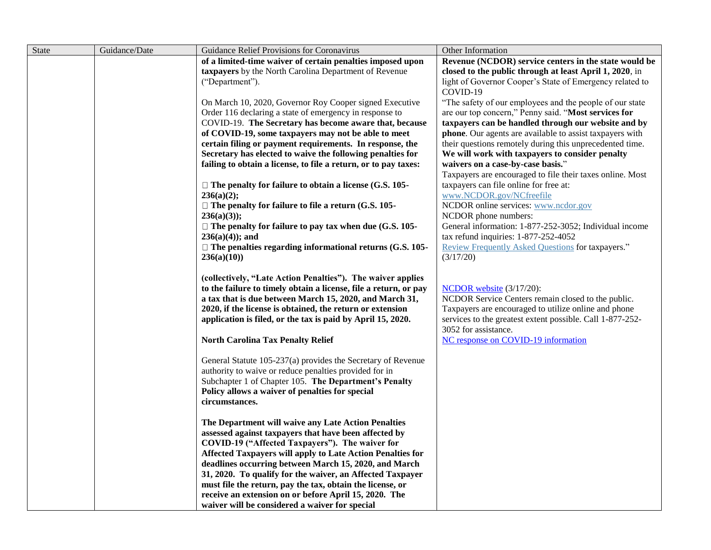| State | Guidance/Date | Guidance Relief Provisions for Coronavirus                       | Other Information                                                    |
|-------|---------------|------------------------------------------------------------------|----------------------------------------------------------------------|
|       |               | of a limited-time waiver of certain penalties imposed upon       | Revenue (NCDOR) service centers in the state would be                |
|       |               | taxpayers by the North Carolina Department of Revenue            | closed to the public through at least April 1, 2020, in              |
|       |               | ("Department").                                                  | light of Governor Cooper's State of Emergency related to<br>COVID-19 |
|       |               | On March 10, 2020, Governor Roy Cooper signed Executive          | "The safety of our employees and the people of our state             |
|       |               | Order 116 declaring a state of emergency in response to          | are our top concern," Penny said. "Most services for                 |
|       |               | COVID-19. The Secretary has become aware that, because           | taxpayers can be handled through our website and by                  |
|       |               | of COVID-19, some taxpayers may not be able to meet              | phone. Our agents are available to assist taxpayers with             |
|       |               | certain filing or payment requirements. In response, the         | their questions remotely during this unprecedented time.             |
|       |               | Secretary has elected to waive the following penalties for       | We will work with taxpayers to consider penalty                      |
|       |               | failing to obtain a license, to file a return, or to pay taxes:  | waivers on a case-by-case basis."                                    |
|       |               |                                                                  | Taxpayers are encouraged to file their taxes online. Most            |
|       |               | $\Box$ The penalty for failure to obtain a license (G.S. 105-    | taxpayers can file online for free at:                               |
|       |               | 236(a)(2);                                                       | www.NCDOR.gov/NCfreefile                                             |
|       |               | $\Box$ The penalty for failure to file a return (G.S. 105-       | NCDOR online services: www.ncdor.gov                                 |
|       |               | $236(a)(3)$ :                                                    | NCDOR phone numbers:                                                 |
|       |               | $\Box$ The penalty for failure to pay tax when due (G.S. 105-    | General information: 1-877-252-3052; Individual income               |
|       |               | $236(a)(4)$ ; and                                                | tax refund inquiries: 1-877-252-4052                                 |
|       |               | $\Box$ The penalties regarding informational returns (G.S. 105-  | Review Frequently Asked Questions for taxpayers."                    |
|       |               | 236(a)(10)                                                       | (3/17/20)                                                            |
|       |               | (collectively, "Late Action Penalties"). The waiver applies      |                                                                      |
|       |               | to the failure to timely obtain a license, file a return, or pay | NCDOR website (3/17/20):                                             |
|       |               | a tax that is due between March 15, 2020, and March 31,          | NCDOR Service Centers remain closed to the public.                   |
|       |               | 2020, if the license is obtained, the return or extension        | Taxpayers are encouraged to utilize online and phone                 |
|       |               | application is filed, or the tax is paid by April 15, 2020.      | services to the greatest extent possible. Call 1-877-252-            |
|       |               |                                                                  | 3052 for assistance.                                                 |
|       |               | <b>North Carolina Tax Penalty Relief</b>                         | NC response on COVID-19 information                                  |
|       |               | General Statute 105-237(a) provides the Secretary of Revenue     |                                                                      |
|       |               | authority to waive or reduce penalties provided for in           |                                                                      |
|       |               | Subchapter 1 of Chapter 105. The Department's Penalty            |                                                                      |
|       |               | Policy allows a waiver of penalties for special                  |                                                                      |
|       |               | circumstances.                                                   |                                                                      |
|       |               | The Department will waive any Late Action Penalties              |                                                                      |
|       |               | assessed against taxpayers that have been affected by            |                                                                      |
|       |               | COVID-19 ("Affected Taxpayers"). The waiver for                  |                                                                      |
|       |               | Affected Taxpayers will apply to Late Action Penalties for       |                                                                      |
|       |               | deadlines occurring between March 15, 2020, and March            |                                                                      |
|       |               | 31, 2020. To qualify for the waiver, an Affected Taxpayer        |                                                                      |
|       |               | must file the return, pay the tax, obtain the license, or        |                                                                      |
|       |               | receive an extension on or before April 15, 2020. The            |                                                                      |
|       |               | waiver will be considered a waiver for special                   |                                                                      |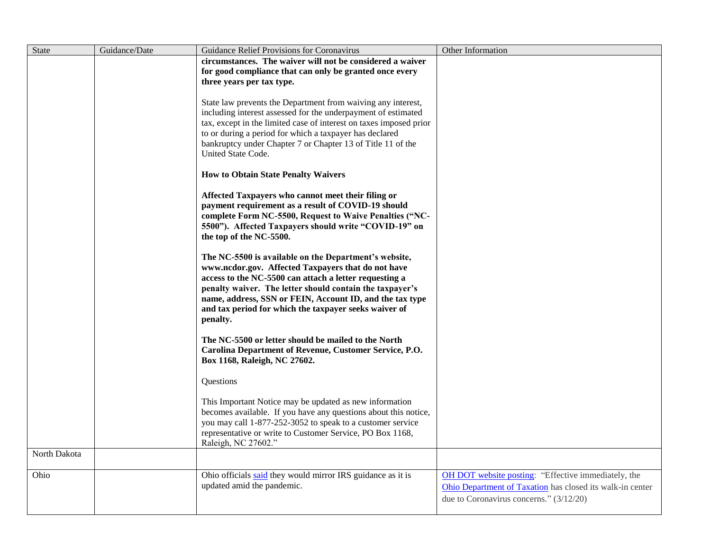| <b>State</b> | Guidance/Date | Guidance Relief Provisions for Coronavirus                                                                                                                                                                                                                                                                                                                         | Other Information                                                                                                                                           |
|--------------|---------------|--------------------------------------------------------------------------------------------------------------------------------------------------------------------------------------------------------------------------------------------------------------------------------------------------------------------------------------------------------------------|-------------------------------------------------------------------------------------------------------------------------------------------------------------|
|              |               | circumstances. The waiver will not be considered a waiver                                                                                                                                                                                                                                                                                                          |                                                                                                                                                             |
|              |               | for good compliance that can only be granted once every                                                                                                                                                                                                                                                                                                            |                                                                                                                                                             |
|              |               | three years per tax type.                                                                                                                                                                                                                                                                                                                                          |                                                                                                                                                             |
|              |               | State law prevents the Department from waiving any interest,<br>including interest assessed for the underpayment of estimated<br>tax, except in the limited case of interest on taxes imposed prior<br>to or during a period for which a taxpayer has declared<br>bankruptcy under Chapter 7 or Chapter 13 of Title 11 of the<br>United State Code.                |                                                                                                                                                             |
|              |               | <b>How to Obtain State Penalty Waivers</b>                                                                                                                                                                                                                                                                                                                         |                                                                                                                                                             |
|              |               | Affected Taxpayers who cannot meet their filing or<br>payment requirement as a result of COVID-19 should<br>complete Form NC-5500, Request to Waive Penalties ("NC-<br>5500"). Affected Taxpayers should write "COVID-19" on<br>the top of the NC-5500.                                                                                                            |                                                                                                                                                             |
|              |               | The NC-5500 is available on the Department's website,<br>www.ncdor.gov. Affected Taxpayers that do not have<br>access to the NC-5500 can attach a letter requesting a<br>penalty waiver. The letter should contain the taxpayer's<br>name, address, SSN or FEIN, Account ID, and the tax type<br>and tax period for which the taxpayer seeks waiver of<br>penalty. |                                                                                                                                                             |
|              |               | The NC-5500 or letter should be mailed to the North<br>Carolina Department of Revenue, Customer Service, P.O.<br>Box 1168, Raleigh, NC 27602.                                                                                                                                                                                                                      |                                                                                                                                                             |
|              |               | Questions                                                                                                                                                                                                                                                                                                                                                          |                                                                                                                                                             |
|              |               | This Important Notice may be updated as new information<br>becomes available. If you have any questions about this notice,<br>you may call 1-877-252-3052 to speak to a customer service<br>representative or write to Customer Service, PO Box 1168,<br>Raleigh, NC 27602."                                                                                       |                                                                                                                                                             |
| North Dakota |               |                                                                                                                                                                                                                                                                                                                                                                    |                                                                                                                                                             |
| Ohio         |               | Ohio officials said they would mirror IRS guidance as it is<br>updated amid the pandemic.                                                                                                                                                                                                                                                                          | OH DOT website posting: "Effective immediately, the<br>Ohio Department of Taxation has closed its walk-in center<br>due to Coronavirus concerns." (3/12/20) |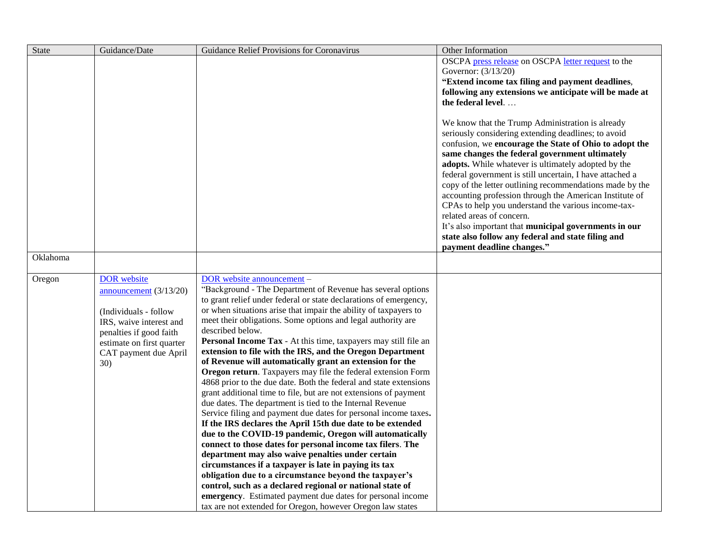| <b>State</b> | Guidance/Date             | Guidance Relief Provisions for Coronavirus                        | Other Information                                                                                                                                                                                                                                                                                                                                                                                                                                                                                                                                                                                                                                                                              |
|--------------|---------------------------|-------------------------------------------------------------------|------------------------------------------------------------------------------------------------------------------------------------------------------------------------------------------------------------------------------------------------------------------------------------------------------------------------------------------------------------------------------------------------------------------------------------------------------------------------------------------------------------------------------------------------------------------------------------------------------------------------------------------------------------------------------------------------|
|              |                           |                                                                   | OSCPA press release on OSCPA letter request to the                                                                                                                                                                                                                                                                                                                                                                                                                                                                                                                                                                                                                                             |
|              |                           |                                                                   | Governor: (3/13/20)                                                                                                                                                                                                                                                                                                                                                                                                                                                                                                                                                                                                                                                                            |
|              |                           |                                                                   | "Extend income tax filing and payment deadlines,                                                                                                                                                                                                                                                                                                                                                                                                                                                                                                                                                                                                                                               |
|              |                           |                                                                   | following any extensions we anticipate will be made at                                                                                                                                                                                                                                                                                                                                                                                                                                                                                                                                                                                                                                         |
|              |                           |                                                                   | the federal level                                                                                                                                                                                                                                                                                                                                                                                                                                                                                                                                                                                                                                                                              |
|              |                           |                                                                   | We know that the Trump Administration is already<br>seriously considering extending deadlines; to avoid<br>confusion, we encourage the State of Ohio to adopt the<br>same changes the federal government ultimately<br>adopts. While whatever is ultimately adopted by the<br>federal government is still uncertain, I have attached a<br>copy of the letter outlining recommendations made by the<br>accounting profession through the American Institute of<br>CPAs to help you understand the various income-tax-<br>related areas of concern.<br>It's also important that municipal governments in our<br>state also follow any federal and state filing and<br>payment deadline changes." |
| Oklahoma     |                           |                                                                   |                                                                                                                                                                                                                                                                                                                                                                                                                                                                                                                                                                                                                                                                                                |
|              |                           |                                                                   |                                                                                                                                                                                                                                                                                                                                                                                                                                                                                                                                                                                                                                                                                                |
| Oregon       | <b>DOR</b> website        | DOR website announcement -                                        |                                                                                                                                                                                                                                                                                                                                                                                                                                                                                                                                                                                                                                                                                                |
|              | announcement (3/13/20)    | "Background - The Department of Revenue has several options       |                                                                                                                                                                                                                                                                                                                                                                                                                                                                                                                                                                                                                                                                                                |
|              |                           | to grant relief under federal or state declarations of emergency, |                                                                                                                                                                                                                                                                                                                                                                                                                                                                                                                                                                                                                                                                                                |
|              | (Individuals - follow)    | or when situations arise that impair the ability of taxpayers to  |                                                                                                                                                                                                                                                                                                                                                                                                                                                                                                                                                                                                                                                                                                |
|              | IRS, waive interest and   | meet their obligations. Some options and legal authority are      |                                                                                                                                                                                                                                                                                                                                                                                                                                                                                                                                                                                                                                                                                                |
|              | penalties if good faith   | described below.                                                  |                                                                                                                                                                                                                                                                                                                                                                                                                                                                                                                                                                                                                                                                                                |
|              | estimate on first quarter | Personal Income Tax - At this time, taxpayers may still file an   |                                                                                                                                                                                                                                                                                                                                                                                                                                                                                                                                                                                                                                                                                                |
|              | CAT payment due April     | extension to file with the IRS, and the Oregon Department         |                                                                                                                                                                                                                                                                                                                                                                                                                                                                                                                                                                                                                                                                                                |
|              | 30)                       | of Revenue will automatically grant an extension for the          |                                                                                                                                                                                                                                                                                                                                                                                                                                                                                                                                                                                                                                                                                                |
|              |                           | Oregon return. Taxpayers may file the federal extension Form      |                                                                                                                                                                                                                                                                                                                                                                                                                                                                                                                                                                                                                                                                                                |
|              |                           | 4868 prior to the due date. Both the federal and state extensions |                                                                                                                                                                                                                                                                                                                                                                                                                                                                                                                                                                                                                                                                                                |
|              |                           | grant additional time to file, but are not extensions of payment  |                                                                                                                                                                                                                                                                                                                                                                                                                                                                                                                                                                                                                                                                                                |
|              |                           | due dates. The department is tied to the Internal Revenue         |                                                                                                                                                                                                                                                                                                                                                                                                                                                                                                                                                                                                                                                                                                |
|              |                           | Service filing and payment due dates for personal income taxes.   |                                                                                                                                                                                                                                                                                                                                                                                                                                                                                                                                                                                                                                                                                                |
|              |                           | If the IRS declares the April 15th due date to be extended        |                                                                                                                                                                                                                                                                                                                                                                                                                                                                                                                                                                                                                                                                                                |
|              |                           | due to the COVID-19 pandemic, Oregon will automatically           |                                                                                                                                                                                                                                                                                                                                                                                                                                                                                                                                                                                                                                                                                                |
|              |                           | connect to those dates for personal income tax filers. The        |                                                                                                                                                                                                                                                                                                                                                                                                                                                                                                                                                                                                                                                                                                |
|              |                           | department may also waive penalties under certain                 |                                                                                                                                                                                                                                                                                                                                                                                                                                                                                                                                                                                                                                                                                                |
|              |                           | circumstances if a taxpayer is late in paying its tax             |                                                                                                                                                                                                                                                                                                                                                                                                                                                                                                                                                                                                                                                                                                |
|              |                           | obligation due to a circumstance beyond the taxpayer's            |                                                                                                                                                                                                                                                                                                                                                                                                                                                                                                                                                                                                                                                                                                |
|              |                           | control, such as a declared regional or national state of         |                                                                                                                                                                                                                                                                                                                                                                                                                                                                                                                                                                                                                                                                                                |
|              |                           | emergency. Estimated payment due dates for personal income        |                                                                                                                                                                                                                                                                                                                                                                                                                                                                                                                                                                                                                                                                                                |
|              |                           | tax are not extended for Oregon, however Oregon law states        |                                                                                                                                                                                                                                                                                                                                                                                                                                                                                                                                                                                                                                                                                                |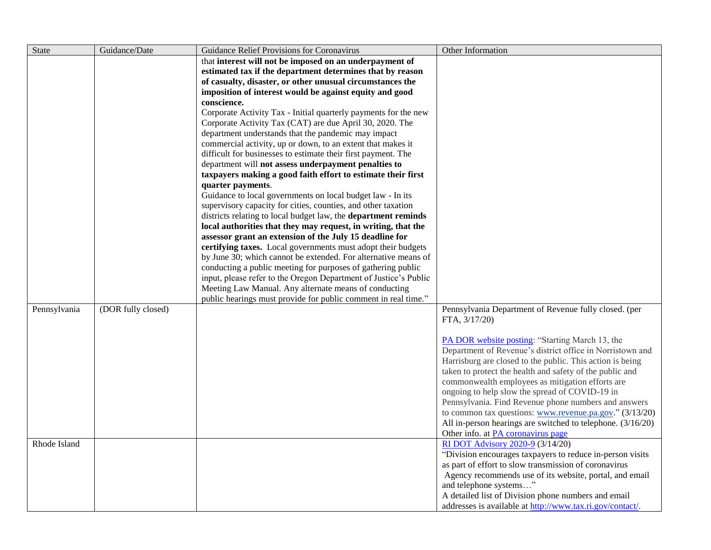| State        | Guidance/Date      | Guidance Relief Provisions for Coronavirus                                                                           | Other Information                                                                                            |
|--------------|--------------------|----------------------------------------------------------------------------------------------------------------------|--------------------------------------------------------------------------------------------------------------|
|              |                    | that interest will not be imposed on an underpayment of                                                              |                                                                                                              |
|              |                    | estimated tax if the department determines that by reason                                                            |                                                                                                              |
|              |                    | of casualty, disaster, or other unusual circumstances the                                                            |                                                                                                              |
|              |                    | imposition of interest would be against equity and good                                                              |                                                                                                              |
|              |                    | conscience.                                                                                                          |                                                                                                              |
|              |                    | Corporate Activity Tax - Initial quarterly payments for the new                                                      |                                                                                                              |
|              |                    | Corporate Activity Tax (CAT) are due April 30, 2020. The                                                             |                                                                                                              |
|              |                    | department understands that the pandemic may impact                                                                  |                                                                                                              |
|              |                    | commercial activity, up or down, to an extent that makes it                                                          |                                                                                                              |
|              |                    | difficult for businesses to estimate their first payment. The                                                        |                                                                                                              |
|              |                    | department will not assess underpayment penalties to<br>taxpayers making a good faith effort to estimate their first |                                                                                                              |
|              |                    | quarter payments.                                                                                                    |                                                                                                              |
|              |                    | Guidance to local governments on local budget law - In its                                                           |                                                                                                              |
|              |                    | supervisory capacity for cities, counties, and other taxation                                                        |                                                                                                              |
|              |                    | districts relating to local budget law, the department reminds                                                       |                                                                                                              |
|              |                    | local authorities that they may request, in writing, that the                                                        |                                                                                                              |
|              |                    | assessor grant an extension of the July 15 deadline for                                                              |                                                                                                              |
|              |                    | certifying taxes. Local governments must adopt their budgets                                                         |                                                                                                              |
|              |                    | by June 30; which cannot be extended. For alternative means of                                                       |                                                                                                              |
|              |                    | conducting a public meeting for purposes of gathering public                                                         |                                                                                                              |
|              |                    | input, please refer to the Oregon Department of Justice's Public                                                     |                                                                                                              |
|              |                    | Meeting Law Manual. Any alternate means of conducting                                                                |                                                                                                              |
|              |                    | public hearings must provide for public comment in real time."                                                       |                                                                                                              |
| Pennsylvania | (DOR fully closed) |                                                                                                                      | Pennsylvania Department of Revenue fully closed. (per                                                        |
|              |                    |                                                                                                                      | FTA, $3/17/20$ )                                                                                             |
|              |                    |                                                                                                                      |                                                                                                              |
|              |                    |                                                                                                                      | PA DOR website posting: "Starting March 13, the<br>Department of Revenue's district office in Norristown and |
|              |                    |                                                                                                                      | Harrisburg are closed to the public. This action is being                                                    |
|              |                    |                                                                                                                      | taken to protect the health and safety of the public and                                                     |
|              |                    |                                                                                                                      | commonwealth employees as mitigation efforts are                                                             |
|              |                    |                                                                                                                      | ongoing to help slow the spread of COVID-19 in                                                               |
|              |                    |                                                                                                                      | Pennsylvania. Find Revenue phone numbers and answers                                                         |
|              |                    |                                                                                                                      | to common tax questions: www.revenue.pa.gov." (3/13/20)                                                      |
|              |                    |                                                                                                                      | All in-person hearings are switched to telephone. (3/16/20)                                                  |
|              |                    |                                                                                                                      | Other info. at PA coronavirus page                                                                           |
| Rhode Island |                    |                                                                                                                      | RI DOT Advisory 2020-9 (3/14/20)                                                                             |
|              |                    |                                                                                                                      | "Division encourages taxpayers to reduce in-person visits                                                    |
|              |                    |                                                                                                                      | as part of effort to slow transmission of coronavirus                                                        |
|              |                    |                                                                                                                      | Agency recommends use of its website, portal, and email                                                      |
|              |                    |                                                                                                                      | and telephone systems"                                                                                       |
|              |                    |                                                                                                                      | A detailed list of Division phone numbers and email                                                          |
|              |                    |                                                                                                                      | addresses is available at http://www.tax.ri.gov/contact/.                                                    |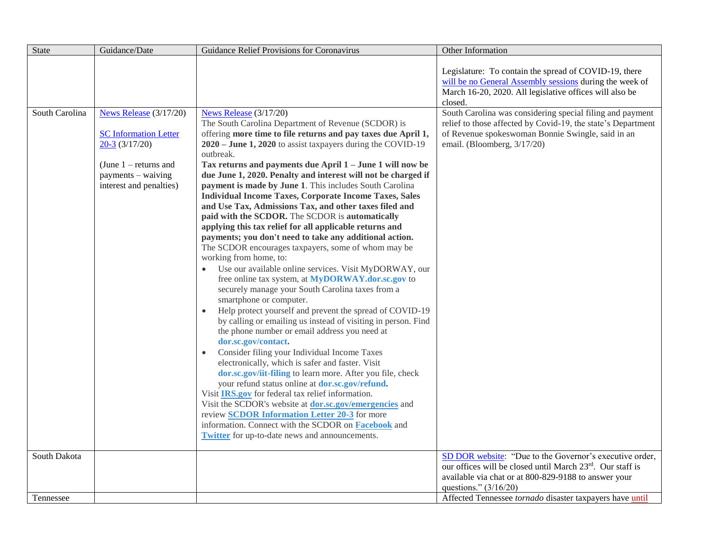| <b>State</b>   | Guidance/Date                                                                                                                                          | Guidance Relief Provisions for Coronavirus                                                                                                                                                                                                                                                                                                                                                                                                                                                                                                                                                                                                                                                                                                                                                                                                                                                                                                                                                                                                                                                                                                                                                                                                                                                                                                                                                                                                                                                                                                                                                                                                                                                                                              | Other Information                                                                                                                                                                                             |
|----------------|--------------------------------------------------------------------------------------------------------------------------------------------------------|-----------------------------------------------------------------------------------------------------------------------------------------------------------------------------------------------------------------------------------------------------------------------------------------------------------------------------------------------------------------------------------------------------------------------------------------------------------------------------------------------------------------------------------------------------------------------------------------------------------------------------------------------------------------------------------------------------------------------------------------------------------------------------------------------------------------------------------------------------------------------------------------------------------------------------------------------------------------------------------------------------------------------------------------------------------------------------------------------------------------------------------------------------------------------------------------------------------------------------------------------------------------------------------------------------------------------------------------------------------------------------------------------------------------------------------------------------------------------------------------------------------------------------------------------------------------------------------------------------------------------------------------------------------------------------------------------------------------------------------------|---------------------------------------------------------------------------------------------------------------------------------------------------------------------------------------------------------------|
|                |                                                                                                                                                        |                                                                                                                                                                                                                                                                                                                                                                                                                                                                                                                                                                                                                                                                                                                                                                                                                                                                                                                                                                                                                                                                                                                                                                                                                                                                                                                                                                                                                                                                                                                                                                                                                                                                                                                                         | Legislature: To contain the spread of COVID-19, there<br>will be no General Assembly sessions during the week of<br>March 16-20, 2020. All legislative offices will also be<br>closed.                        |
| South Carolina | News Release (3/17/20)<br><b>SC Information Letter</b><br>$20-3$ (3/17/20)<br>(June $1$ – returns and<br>payments - waiving<br>interest and penalties) | News Release (3/17/20)<br>The South Carolina Department of Revenue (SCDOR) is<br>offering more time to file returns and pay taxes due April 1,<br>$2020 -$ June 1, 2020 to assist taxpayers during the COVID-19<br>outbreak.<br>Tax returns and payments due April 1 - June 1 will now be<br>due June 1, 2020. Penalty and interest will not be charged if<br>payment is made by June 1. This includes South Carolina<br><b>Individual Income Taxes, Corporate Income Taxes, Sales</b><br>and Use Tax, Admissions Tax, and other taxes filed and<br>paid with the SCDOR. The SCDOR is automatically<br>applying this tax relief for all applicable returns and<br>payments; you don't need to take any additional action.<br>The SCDOR encourages taxpayers, some of whom may be<br>working from home, to:<br>Use our available online services. Visit MyDORWAY, our<br>free online tax system, at MyDORWAY.dor.sc.gov to<br>securely manage your South Carolina taxes from a<br>smartphone or computer.<br>Help protect yourself and prevent the spread of COVID-19<br>$\bullet$<br>by calling or emailing us instead of visiting in person. Find<br>the phone number or email address you need at<br>dor.sc.gov/contact.<br>Consider filing your Individual Income Taxes<br>electronically, which is safer and faster. Visit<br>dor.sc.gov/iit-filing to learn more. After you file, check<br>your refund status online at dor.sc.gov/refund.<br>Visit IRS.gov for federal tax relief information.<br>Visit the SCDOR's website at <b>dor.sc.gov/emergencies</b> and<br>review <b>SCDOR Information Letter 20-3</b> for more<br>information. Connect with the SCDOR on Facebook and<br>Twitter for up-to-date news and announcements. | South Carolina was considering special filing and payment<br>relief to those affected by Covid-19, the state's Department<br>of Revenue spokeswoman Bonnie Swingle, said in an<br>email. (Bloomberg, 3/17/20) |
| South Dakota   |                                                                                                                                                        |                                                                                                                                                                                                                                                                                                                                                                                                                                                                                                                                                                                                                                                                                                                                                                                                                                                                                                                                                                                                                                                                                                                                                                                                                                                                                                                                                                                                                                                                                                                                                                                                                                                                                                                                         | SD DOR website: "Due to the Governor's executive order,<br>our offices will be closed until March 23rd. Our staff is                                                                                          |
|                |                                                                                                                                                        |                                                                                                                                                                                                                                                                                                                                                                                                                                                                                                                                                                                                                                                                                                                                                                                                                                                                                                                                                                                                                                                                                                                                                                                                                                                                                                                                                                                                                                                                                                                                                                                                                                                                                                                                         | available via chat or at 800-829-9188 to answer your<br>questions." $(3/16/20)$                                                                                                                               |
| Tennessee      |                                                                                                                                                        |                                                                                                                                                                                                                                                                                                                                                                                                                                                                                                                                                                                                                                                                                                                                                                                                                                                                                                                                                                                                                                                                                                                                                                                                                                                                                                                                                                                                                                                                                                                                                                                                                                                                                                                                         | Affected Tennessee tornado disaster taxpayers have until                                                                                                                                                      |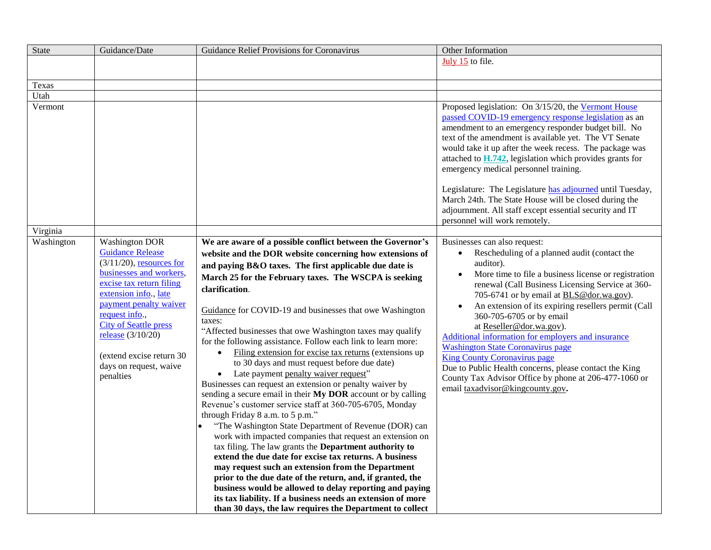| State      | Guidance/Date                                                                                                                                                                                                                                                                                                                         | Guidance Relief Provisions for Coronavirus                                                                                                                                                                                                                                                                                                                                                                                                                                                                                                                                                                                                                                                                                                                                                                                                                                                                                                                                                                                                                                                                                                                                                                                                                                                                                                                                                                    | Other Information                                                                                                                                                                                                                                                                                                                                                                                                                                                                                                                                                                                                                                                                                  |
|------------|---------------------------------------------------------------------------------------------------------------------------------------------------------------------------------------------------------------------------------------------------------------------------------------------------------------------------------------|---------------------------------------------------------------------------------------------------------------------------------------------------------------------------------------------------------------------------------------------------------------------------------------------------------------------------------------------------------------------------------------------------------------------------------------------------------------------------------------------------------------------------------------------------------------------------------------------------------------------------------------------------------------------------------------------------------------------------------------------------------------------------------------------------------------------------------------------------------------------------------------------------------------------------------------------------------------------------------------------------------------------------------------------------------------------------------------------------------------------------------------------------------------------------------------------------------------------------------------------------------------------------------------------------------------------------------------------------------------------------------------------------------------|----------------------------------------------------------------------------------------------------------------------------------------------------------------------------------------------------------------------------------------------------------------------------------------------------------------------------------------------------------------------------------------------------------------------------------------------------------------------------------------------------------------------------------------------------------------------------------------------------------------------------------------------------------------------------------------------------|
|            |                                                                                                                                                                                                                                                                                                                                       |                                                                                                                                                                                                                                                                                                                                                                                                                                                                                                                                                                                                                                                                                                                                                                                                                                                                                                                                                                                                                                                                                                                                                                                                                                                                                                                                                                                                               | July 15 to file.                                                                                                                                                                                                                                                                                                                                                                                                                                                                                                                                                                                                                                                                                   |
| Texas      |                                                                                                                                                                                                                                                                                                                                       |                                                                                                                                                                                                                                                                                                                                                                                                                                                                                                                                                                                                                                                                                                                                                                                                                                                                                                                                                                                                                                                                                                                                                                                                                                                                                                                                                                                                               |                                                                                                                                                                                                                                                                                                                                                                                                                                                                                                                                                                                                                                                                                                    |
| Utah       |                                                                                                                                                                                                                                                                                                                                       |                                                                                                                                                                                                                                                                                                                                                                                                                                                                                                                                                                                                                                                                                                                                                                                                                                                                                                                                                                                                                                                                                                                                                                                                                                                                                                                                                                                                               |                                                                                                                                                                                                                                                                                                                                                                                                                                                                                                                                                                                                                                                                                                    |
| Vermont    |                                                                                                                                                                                                                                                                                                                                       |                                                                                                                                                                                                                                                                                                                                                                                                                                                                                                                                                                                                                                                                                                                                                                                                                                                                                                                                                                                                                                                                                                                                                                                                                                                                                                                                                                                                               | Proposed legislation: On 3/15/20, the Vermont House<br>passed COVID-19 emergency response legislation as an<br>amendment to an emergency responder budget bill. No<br>text of the amendment is available yet. The VT Senate<br>would take it up after the week recess. The package was<br>attached to $H.742$ , legislation which provides grants for<br>emergency medical personnel training.<br>Legislature: The Legislature has adjourned until Tuesday,<br>March 24th. The State House will be closed during the<br>adjournment. All staff except essential security and IT<br>personnel will work remotely.                                                                                   |
| Virginia   |                                                                                                                                                                                                                                                                                                                                       |                                                                                                                                                                                                                                                                                                                                                                                                                                                                                                                                                                                                                                                                                                                                                                                                                                                                                                                                                                                                                                                                                                                                                                                                                                                                                                                                                                                                               |                                                                                                                                                                                                                                                                                                                                                                                                                                                                                                                                                                                                                                                                                                    |
| Washington | <b>Washington DOR</b><br><b>Guidance Release</b><br>$(3/11/20)$ , resources for<br>businesses and workers,<br>excise tax return filing<br>extension info., late<br>payment penalty waiver<br>request info.,<br><b>City of Seattle press</b><br>release $(3/10/20)$<br>(extend excise return 30<br>days on request, waive<br>penalties | We are aware of a possible conflict between the Governor's<br>website and the DOR website concerning how extensions of<br>and paying B&O taxes. The first applicable due date is<br>March 25 for the February taxes. The WSCPA is seeking<br>clarification.<br>Guidance for COVID-19 and businesses that owe Washington<br>taxes:<br>"Affected businesses that owe Washington taxes may qualify<br>for the following assistance. Follow each link to learn more:<br>Filing extension for excise tax returns (extensions up<br>to 30 days and must request before due date)<br>Late payment penalty waiver request"<br>$\bullet$<br>Businesses can request an extension or penalty waiver by<br>sending a secure email in their My DOR account or by calling<br>Revenue's customer service staff at 360-705-6705, Monday<br>through Friday 8 a.m. to 5 p.m."<br>"The Washington State Department of Revenue (DOR) can<br>work with impacted companies that request an extension on<br>tax filing. The law grants the Department authority to<br>extend the due date for excise tax returns. A business<br>may request such an extension from the Department<br>prior to the due date of the return, and, if granted, the<br>business would be allowed to delay reporting and paying<br>its tax liability. If a business needs an extension of more<br>than 30 days, the law requires the Department to collect | Businesses can also request:<br>Rescheduling of a planned audit (contact the<br>$\bullet$<br>auditor).<br>More time to file a business license or registration<br>$\bullet$<br>renewal (Call Business Licensing Service at 360-<br>705-6741 or by email at <b>BLS@dor.wa.gov</b> ).<br>An extension of its expiring resellers permit (Call<br>360-705-6705 or by email<br>at Reseller@dor.wa.gov).<br>Additional information for employers and insurance<br><b>Washington State Coronavirus page</b><br><b>King County Coronavirus page</b><br>Due to Public Health concerns, please contact the King<br>County Tax Advisor Office by phone at 206-477-1060 or<br>email taxadvisor@kingcounty.gov. |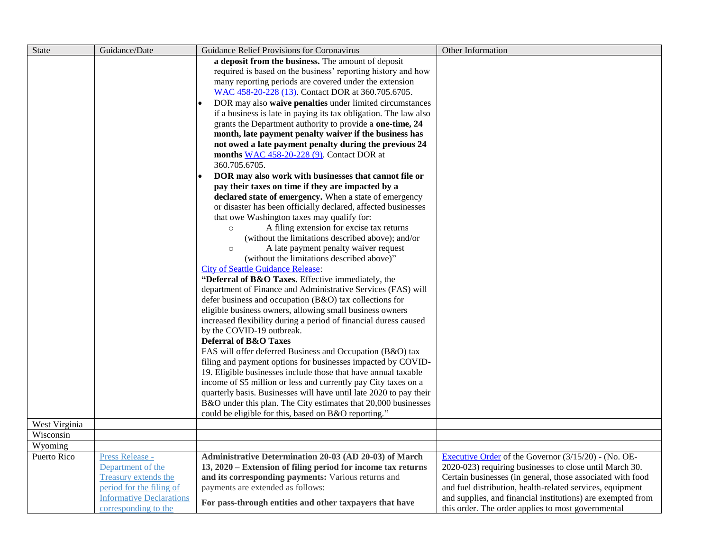| <b>State</b>  | Guidance/Date                                    | Guidance Relief Provisions for Coronavirus                                                                | Other Information                                                                                                       |
|---------------|--------------------------------------------------|-----------------------------------------------------------------------------------------------------------|-------------------------------------------------------------------------------------------------------------------------|
|               |                                                  | a deposit from the business. The amount of deposit                                                        |                                                                                                                         |
|               |                                                  | required is based on the business' reporting history and how                                              |                                                                                                                         |
|               |                                                  | many reporting periods are covered under the extension                                                    |                                                                                                                         |
|               |                                                  | WAC 458-20-228 (13). Contact DOR at 360.705.6705.                                                         |                                                                                                                         |
|               |                                                  | DOR may also waive penalties under limited circumstances                                                  |                                                                                                                         |
|               |                                                  | if a business is late in paying its tax obligation. The law also                                          |                                                                                                                         |
|               |                                                  | grants the Department authority to provide a one-time, 24                                                 |                                                                                                                         |
|               |                                                  | month, late payment penalty waiver if the business has                                                    |                                                                                                                         |
|               |                                                  | not owed a late payment penalty during the previous 24                                                    |                                                                                                                         |
|               |                                                  | months $WAC$ 458-20-228 (9). Contact DOR at                                                               |                                                                                                                         |
|               |                                                  | 360.705.6705.                                                                                             |                                                                                                                         |
|               |                                                  | DOR may also work with businesses that cannot file or<br>$\bullet$                                        |                                                                                                                         |
|               |                                                  | pay their taxes on time if they are impacted by a                                                         |                                                                                                                         |
|               |                                                  | declared state of emergency. When a state of emergency                                                    |                                                                                                                         |
|               |                                                  | or disaster has been officially declared, affected businesses                                             |                                                                                                                         |
|               |                                                  | that owe Washington taxes may qualify for:                                                                |                                                                                                                         |
|               |                                                  | A filing extension for excise tax returns<br>$\circ$<br>(without the limitations described above); and/or |                                                                                                                         |
|               |                                                  | A late payment penalty waiver request<br>$\circ$                                                          |                                                                                                                         |
|               |                                                  | (without the limitations described above)"                                                                |                                                                                                                         |
|               |                                                  | <b>City of Seattle Guidance Release:</b>                                                                  |                                                                                                                         |
|               |                                                  | "Deferral of B&O Taxes. Effective immediately, the                                                        |                                                                                                                         |
|               |                                                  | department of Finance and Administrative Services (FAS) will                                              |                                                                                                                         |
|               |                                                  | defer business and occupation (B&O) tax collections for                                                   |                                                                                                                         |
|               |                                                  | eligible business owners, allowing small business owners                                                  |                                                                                                                         |
|               |                                                  | increased flexibility during a period of financial duress caused                                          |                                                                                                                         |
|               |                                                  | by the COVID-19 outbreak.                                                                                 |                                                                                                                         |
|               |                                                  | <b>Deferral of B&amp;O Taxes</b>                                                                          |                                                                                                                         |
|               |                                                  | FAS will offer deferred Business and Occupation (B&O) tax                                                 |                                                                                                                         |
|               |                                                  | filing and payment options for businesses impacted by COVID-                                              |                                                                                                                         |
|               |                                                  | 19. Eligible businesses include those that have annual taxable                                            |                                                                                                                         |
|               |                                                  | income of \$5 million or less and currently pay City taxes on a                                           |                                                                                                                         |
|               |                                                  | quarterly basis. Businesses will have until late 2020 to pay their                                        |                                                                                                                         |
|               |                                                  | B&O under this plan. The City estimates that 20,000 businesses                                            |                                                                                                                         |
|               |                                                  | could be eligible for this, based on B&O reporting."                                                      |                                                                                                                         |
| West Virginia |                                                  |                                                                                                           |                                                                                                                         |
| Wisconsin     |                                                  |                                                                                                           |                                                                                                                         |
| Wyoming       |                                                  |                                                                                                           |                                                                                                                         |
| Puerto Rico   | Press Release -                                  | Administrative Determination 20-03 (AD 20-03) of March                                                    | Executive Order of the Governor $(3/15/20)$ - (No. OE-                                                                  |
|               | Department of the                                | 13, 2020 – Extension of filing period for income tax returns                                              | 2020-023) requiring businesses to close until March 30.                                                                 |
|               | Treasury extends the<br>period for the filing of | and its corresponding payments: Various returns and<br>payments are extended as follows:                  | Certain businesses (in general, those associated with food<br>and fuel distribution, health-related services, equipment |
|               | <b>Informative Declarations</b>                  |                                                                                                           | and supplies, and financial institutions) are exempted from                                                             |
|               | corresponding to the                             | For pass-through entities and other taxpayers that have                                                   | this order. The order applies to most governmental                                                                      |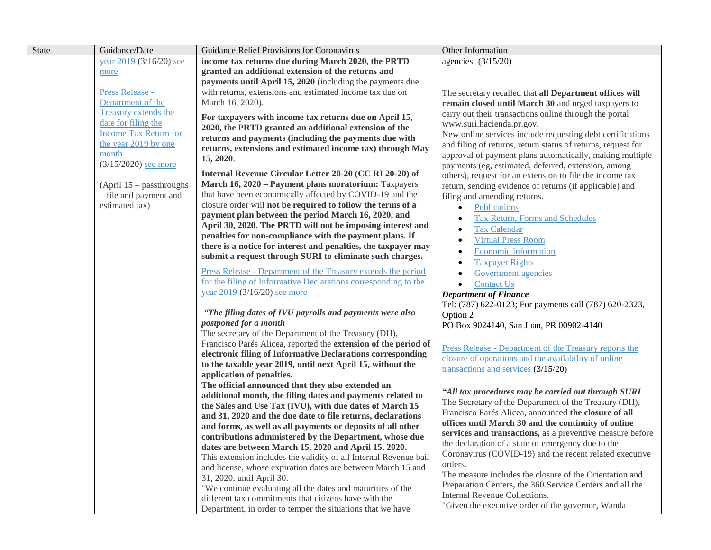| State | Guidance/Date                | Guidance Relief Provisions for Coronavirus                                                                           | Other Information                                            |
|-------|------------------------------|----------------------------------------------------------------------------------------------------------------------|--------------------------------------------------------------|
|       | year 2019 (3/16/20) see      | income tax returns due during March 2020, the PRTD                                                                   | agencies. (3/15/20)                                          |
|       | more                         | granted an additional extension of the returns and                                                                   |                                                              |
|       |                              | payments until April 15, 2020 (including the payments due                                                            |                                                              |
|       | Press Release -              | with returns, extensions and estimated income tax due on                                                             | The secretary recalled that all Department offices will      |
|       | Department of the            | March 16, 2020).                                                                                                     | remain closed until March 30 and urged taxpayers to          |
|       | Treasury extends the         | For taxpayers with income tax returns due on April 15,                                                               | carry out their transactions online through the portal       |
|       | date for filing the          | 2020, the PRTD granted an additional extension of the                                                                | www.suri.hacienda.pr.gov.                                    |
|       | <b>Income Tax Return for</b> | returns and payments (including the payments due with                                                                | New online services include requesting debt certifications   |
|       | the year 2019 by one         | returns, extensions and estimated income tax) through May                                                            | and filing of returns, return status of returns, request for |
|       | month                        | 15, 2020.                                                                                                            | approval of payment plans automatically, making multiple     |
|       | $(3/15/2020)$ see more       |                                                                                                                      | payments (eg, estimated, deferred, extension, among          |
|       |                              | Internal Revenue Circular Letter 20-20 (CC RI 20-20) of                                                              | others), request for an extension to file the income tax     |
|       | (April $15$ – passthroughs   | March 16, 2020 - Payment plans moratorium: Taxpayers                                                                 | return, sending evidence of returns (if applicable) and      |
|       | - file and payment and       | that have been economically affected by COVID-19 and the                                                             | filing and amending returns.                                 |
|       | estimated tax)               | closure order will not be required to follow the terms of a                                                          | Publications<br>$\bullet$                                    |
|       |                              | payment plan between the period March 16, 2020, and                                                                  | Tax Return, Forms and Schedules<br>$\bullet$                 |
|       |                              | April 30, 2020. The PRTD will not be imposing interest and                                                           | <b>Tax Calendar</b><br>$\bullet$                             |
|       |                              | penalties for non-compliance with the payment plans. If                                                              | <b>Virtual Press Room</b><br>$\bullet$                       |
|       |                              | there is a notice for interest and penalties, the taxpayer may                                                       | Economic information<br>$\bullet$                            |
|       |                              | submit a request through SURI to eliminate such charges.                                                             | <b>Taxpayer Rights</b><br>$\bullet$                          |
|       |                              | Press Release - Department of the Treasury extends the period                                                        | <b>Government</b> agencies                                   |
|       |                              | for the filing of Informative Declarations corresponding to the                                                      | <b>Contact Us</b><br>$\bullet$                               |
|       |                              | year 2019 (3/16/20) see more                                                                                         | <b>Department of Finance</b>                                 |
|       |                              |                                                                                                                      | Tel: (787) 622-0123; For payments call (787) 620-2323,       |
|       |                              | "The filing dates of IVU payrolls and payments were also                                                             | Option 2                                                     |
|       |                              | postponed for a month                                                                                                | PO Box 9024140, San Juan, PR 00902-4140                      |
|       |                              | The secretary of the Department of the Treasury (DH),                                                                |                                                              |
|       |                              | Francisco Parés Alicea, reported the extension of the period of                                                      | Press Release - Department of the Treasury reports the       |
|       |                              | electronic filing of Informative Declarations corresponding                                                          | closure of operations and the availability of online         |
|       |                              | to the taxable year 2019, until next April 15, without the                                                           | transactions and services (3/15/20)                          |
|       |                              | application of penalties.                                                                                            |                                                              |
|       |                              | The official announced that they also extended an                                                                    | "All tax procedures may be carried out through SURI          |
|       |                              | additional month, the filing dates and payments related to                                                           | The Secretary of the Department of the Treasury (DH),        |
|       |                              | the Sales and Use Tax (IVU), with due dates of March 15                                                              | Francisco Parés Alicea, announced the closure of all         |
|       |                              | and 31, 2020 and the due date to file returns, declarations                                                          | offices until March 30 and the continuity of online          |
|       |                              | and forms, as well as all payments or deposits of all other                                                          | services and transactions, as a preventive measure before    |
|       |                              | contributions administered by the Department, whose due                                                              | the declaration of a state of emergency due to the           |
|       |                              | dates are between March 15, 2020 and April 15, 2020.                                                                 | Coronavirus (COVID-19) and the recent related executive      |
|       |                              | This extension includes the validity of all Internal Revenue bail                                                    | orders.                                                      |
|       |                              | and license, whose expiration dates are between March 15 and                                                         | The measure includes the closure of the Orientation and      |
|       |                              | 31, 2020, until April 30.                                                                                            | Preparation Centers, the 360 Service Centers and all the     |
|       |                              | "We continue evaluating all the dates and maturities of the<br>different tax commitments that citizens have with the | Internal Revenue Collections.                                |
|       |                              |                                                                                                                      | "Given the executive order of the governor, Wanda            |
|       |                              | Department, in order to temper the situations that we have                                                           |                                                              |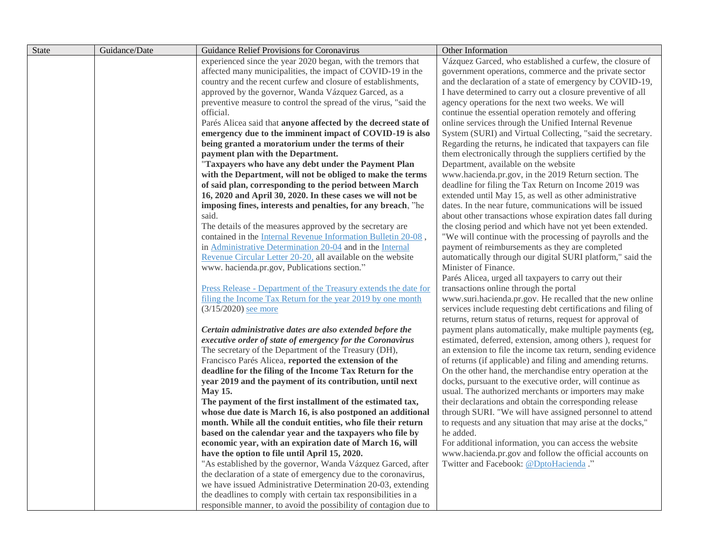| <b>State</b> | Guidance/Date | Guidance Relief Provisions for Coronavirus                                                                                | Other Information                                                                                                 |
|--------------|---------------|---------------------------------------------------------------------------------------------------------------------------|-------------------------------------------------------------------------------------------------------------------|
|              |               | experienced since the year 2020 began, with the tremors that                                                              | Vázquez Garced, who established a curfew, the closure of                                                          |
|              |               | affected many municipalities, the impact of COVID-19 in the                                                               | government operations, commerce and the private sector                                                            |
|              |               | country and the recent curfew and closure of establishments,                                                              | and the declaration of a state of emergency by COVID-19,                                                          |
|              |               | approved by the governor, Wanda Vázquez Garced, as a                                                                      | I have determined to carry out a closure preventive of all                                                        |
|              |               | preventive measure to control the spread of the virus, "said the                                                          | agency operations for the next two weeks. We will                                                                 |
|              |               | official.                                                                                                                 | continue the essential operation remotely and offering                                                            |
|              |               | Parés Alicea said that anyone affected by the decreed state of                                                            | online services through the Unified Internal Revenue                                                              |
|              |               | emergency due to the imminent impact of COVID-19 is also                                                                  | System (SURI) and Virtual Collecting, "said the secretary.                                                        |
|              |               | being granted a moratorium under the terms of their                                                                       | Regarding the returns, he indicated that taxpayers can file                                                       |
|              |               | payment plan with the Department.                                                                                         | them electronically through the suppliers certified by the                                                        |
|              |               | "Taxpayers who have any debt under the Payment Plan                                                                       | Department, available on the website                                                                              |
|              |               | with the Department, will not be obliged to make the terms                                                                | www.hacienda.pr.gov, in the 2019 Return section. The                                                              |
|              |               | of said plan, corresponding to the period between March                                                                   | deadline for filing the Tax Return on Income 2019 was                                                             |
|              |               | 16, 2020 and April 30, 2020. In these cases we will not be                                                                | extended until May 15, as well as other administrative                                                            |
|              |               | imposing fines, interests and penalties, for any breach, "he                                                              | dates. In the near future, communications will be issued                                                          |
|              |               | said.                                                                                                                     | about other transactions whose expiration dates fall during                                                       |
|              |               | The details of the measures approved by the secretary are                                                                 | the closing period and which have not yet been extended.                                                          |
|              |               | contained in the Internal Revenue Information Bulletin 20-08,                                                             | "We will continue with the processing of payrolls and the                                                         |
|              |               | in Administrative Determination 20-04 and in the Internal                                                                 | payment of reimbursements as they are completed                                                                   |
|              |               | Revenue Circular Letter 20-20, all available on the website                                                               | automatically through our digital SURI platform," said the                                                        |
|              |               | www. hacienda.pr.gov, Publications section."                                                                              | Minister of Finance.                                                                                              |
|              |               |                                                                                                                           | Parés Alicea, urged all taxpayers to carry out their                                                              |
|              |               | Press Release - Department of the Treasury extends the date for                                                           | transactions online through the portal                                                                            |
|              |               | filing the Income Tax Return for the year 2019 by one month                                                               | www.suri.hacienda.pr.gov. He recalled that the new online                                                         |
|              |               | $(3/15/2020)$ see more                                                                                                    | services include requesting debt certifications and filing of                                                     |
|              |               |                                                                                                                           | returns, return status of returns, request for approval of                                                        |
|              |               | Certain administrative dates are also extended before the                                                                 | payment plans automatically, make multiple payments (eg,                                                          |
|              |               | executive order of state of emergency for the Coronavirus                                                                 | estimated, deferred, extension, among others), request for                                                        |
|              |               | The secretary of the Department of the Treasury (DH),                                                                     | an extension to file the income tax return, sending evidence                                                      |
|              |               | Francisco Parés Alicea, reported the extension of the                                                                     | of returns (if applicable) and filing and amending returns.                                                       |
|              |               | deadline for the filing of the Income Tax Return for the                                                                  | On the other hand, the merchandise entry operation at the                                                         |
|              |               | year 2019 and the payment of its contribution, until next                                                                 | docks, pursuant to the executive order, will continue as<br>usual. The authorized merchants or importers may make |
|              |               | <b>May 15.</b>                                                                                                            | their declarations and obtain the corresponding release                                                           |
|              |               | The payment of the first installment of the estimated tax,<br>whose due date is March 16, is also postponed an additional | through SURI. "We will have assigned personnel to attend                                                          |
|              |               | month. While all the conduit entities, who file their return                                                              | to requests and any situation that may arise at the docks,"                                                       |
|              |               | based on the calendar year and the taxpayers who file by                                                                  | he added.                                                                                                         |
|              |               | economic year, with an expiration date of March 16, will                                                                  | For additional information, you can access the website                                                            |
|              |               | have the option to file until April 15, 2020.                                                                             | www.hacienda.pr.gov and follow the official accounts on                                                           |
|              |               | "As established by the governor, Wanda Vázquez Garced, after                                                              | Twitter and Facebook: @DptoHacienda."                                                                             |
|              |               | the declaration of a state of emergency due to the coronavirus,                                                           |                                                                                                                   |
|              |               | we have issued Administrative Determination 20-03, extending                                                              |                                                                                                                   |
|              |               | the deadlines to comply with certain tax responsibilities in a                                                            |                                                                                                                   |
|              |               | responsible manner, to avoid the possibility of contagion due to                                                          |                                                                                                                   |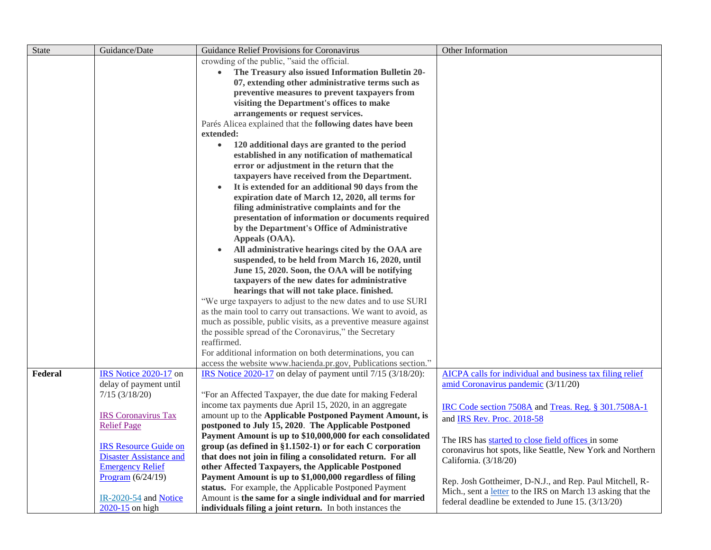| <b>State</b> | Guidance/Date                  | Guidance Relief Provisions for Coronavirus                                                                                     | Other Information                                                                                                 |
|--------------|--------------------------------|--------------------------------------------------------------------------------------------------------------------------------|-------------------------------------------------------------------------------------------------------------------|
|              |                                | crowding of the public, "said the official.                                                                                    |                                                                                                                   |
|              |                                | The Treasury also issued Information Bulletin 20-                                                                              |                                                                                                                   |
|              |                                | 07, extending other administrative terms such as                                                                               |                                                                                                                   |
|              |                                | preventive measures to prevent taxpayers from                                                                                  |                                                                                                                   |
|              |                                | visiting the Department's offices to make                                                                                      |                                                                                                                   |
|              |                                | arrangements or request services.                                                                                              |                                                                                                                   |
|              |                                | Parés Alicea explained that the following dates have been                                                                      |                                                                                                                   |
|              |                                | extended:                                                                                                                      |                                                                                                                   |
|              |                                | 120 additional days are granted to the period<br>$\bullet$                                                                     |                                                                                                                   |
|              |                                | established in any notification of mathematical                                                                                |                                                                                                                   |
|              |                                | error or adjustment in the return that the                                                                                     |                                                                                                                   |
|              |                                | taxpayers have received from the Department.                                                                                   |                                                                                                                   |
|              |                                | It is extended for an additional 90 days from the<br>$\bullet$                                                                 |                                                                                                                   |
|              |                                | expiration date of March 12, 2020, all terms for                                                                               |                                                                                                                   |
|              |                                | filing administrative complaints and for the                                                                                   |                                                                                                                   |
|              |                                | presentation of information or documents required                                                                              |                                                                                                                   |
|              |                                | by the Department's Office of Administrative                                                                                   |                                                                                                                   |
|              |                                | Appeals (OAA).                                                                                                                 |                                                                                                                   |
|              |                                | All administrative hearings cited by the OAA are                                                                               |                                                                                                                   |
|              |                                | suspended, to be held from March 16, 2020, until                                                                               |                                                                                                                   |
|              |                                | June 15, 2020. Soon, the OAA will be notifying                                                                                 |                                                                                                                   |
|              |                                | taxpayers of the new dates for administrative                                                                                  |                                                                                                                   |
|              |                                | hearings that will not take place. finished.                                                                                   |                                                                                                                   |
|              |                                | "We urge taxpayers to adjust to the new dates and to use SURI                                                                  |                                                                                                                   |
|              |                                | as the main tool to carry out transactions. We want to avoid, as                                                               |                                                                                                                   |
|              |                                | much as possible, public visits, as a preventive measure against                                                               |                                                                                                                   |
|              |                                | the possible spread of the Coronavirus," the Secretary                                                                         |                                                                                                                   |
|              |                                | reaffirmed.                                                                                                                    |                                                                                                                   |
|              |                                | For additional information on both determinations, you can                                                                     |                                                                                                                   |
| Federal      | IRS Notice 2020-17 on          | access the website www.hacienda.pr.gov, Publications section."<br>IRS Notice 2020-17 on delay of payment until 7/15 (3/18/20): | AICPA calls for individual and business tax filing relief                                                         |
|              | delay of payment until         |                                                                                                                                | amid Coronavirus pandemic (3/11/20)                                                                               |
|              | $7/15$ (3/18/20)               | "For an Affected Taxpayer, the due date for making Federal                                                                     |                                                                                                                   |
|              |                                | income tax payments due April 15, 2020, in an aggregate                                                                        |                                                                                                                   |
|              | <b>IRS</b> Coronavirus Tax     | amount up to the Applicable Postponed Payment Amount, is                                                                       | IRC Code section 7508A and Treas. Reg. § 301.7508A-1                                                              |
|              | <b>Relief Page</b>             | postponed to July 15, 2020. The Applicable Postponed                                                                           | and IRS Rev. Proc. 2018-58                                                                                        |
|              |                                | Payment Amount is up to \$10,000,000 for each consolidated                                                                     |                                                                                                                   |
|              | <b>IRS Resource Guide on</b>   | group (as defined in $\S1.1502-1$ ) or for each C corporation                                                                  | The IRS has started to close field offices in some                                                                |
|              | <b>Disaster Assistance and</b> | that does not join in filing a consolidated return. For all                                                                    | coronavirus hot spots, like Seattle, New York and Northern                                                        |
|              | <b>Emergency Relief</b>        | other Affected Taxpayers, the Applicable Postponed                                                                             | California. (3/18/20)                                                                                             |
|              | Program $(6/24/19)$            | Payment Amount is up to \$1,000,000 regardless of filing                                                                       |                                                                                                                   |
|              |                                | status. For example, the Applicable Postponed Payment                                                                          | Rep. Josh Gottheimer, D-N.J., and Rep. Paul Mitchell, R-                                                          |
|              | $IR-2020-54$ and Notice        | Amount is the same for a single individual and for married                                                                     | Mich., sent a letter to the IRS on March 13 asking that the<br>federal deadline be extended to June 15. (3/13/20) |
|              | $2020-15$ on high              | individuals filing a joint return. In both instances the                                                                       |                                                                                                                   |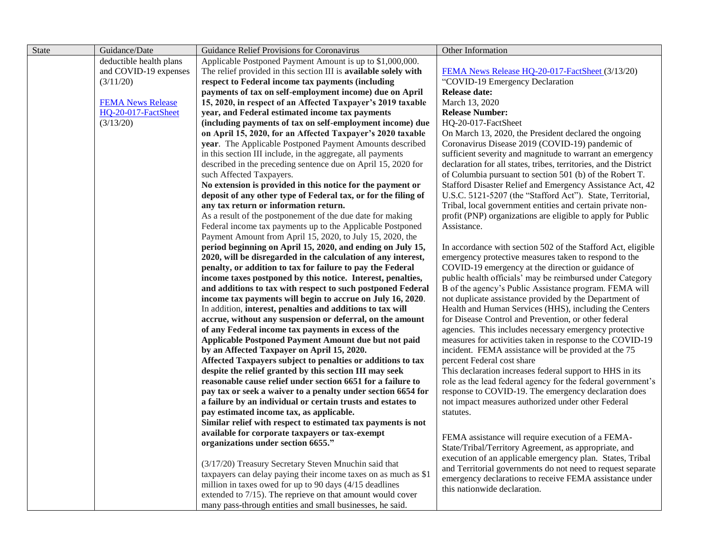| <b>State</b> | Guidance/Date            | Guidance Relief Provisions for Coronavirus                       | Other Information                                                 |
|--------------|--------------------------|------------------------------------------------------------------|-------------------------------------------------------------------|
|              | deductible health plans  | Applicable Postponed Payment Amount is up to \$1,000,000.        |                                                                   |
|              | and COVID-19 expenses    | The relief provided in this section III is available solely with | FEMA News Release HQ-20-017-FactSheet (3/13/20)                   |
|              | (3/11/20)                | respect to Federal income tax payments (including                | "COVID-19 Emergency Declaration                                   |
|              |                          | payments of tax on self-employment income) due on April          | <b>Release date:</b>                                              |
|              | <b>FEMA News Release</b> | 15, 2020, in respect of an Affected Taxpayer's 2019 taxable      | March 13, 2020                                                    |
|              | HQ-20-017-FactSheet      | year, and Federal estimated income tax payments                  | <b>Release Number:</b>                                            |
|              | (3/13/20)                | (including payments of tax on self-employment income) due        | HQ-20-017-FactSheet                                               |
|              |                          | on April 15, 2020, for an Affected Taxpayer's 2020 taxable       | On March 13, 2020, the President declared the ongoing             |
|              |                          | year. The Applicable Postponed Payment Amounts described         | Coronavirus Disease 2019 (COVID-19) pandemic of                   |
|              |                          | in this section III include, in the aggregate, all payments      | sufficient severity and magnitude to warrant an emergency         |
|              |                          | described in the preceding sentence due on April 15, 2020 for    | declaration for all states, tribes, territories, and the District |
|              |                          | such Affected Taxpayers.                                         | of Columbia pursuant to section 501 (b) of the Robert T.          |
|              |                          | No extension is provided in this notice for the payment or       | Stafford Disaster Relief and Emergency Assistance Act, 42         |
|              |                          | deposit of any other type of Federal tax, or for the filing of   | U.S.C. 5121-5207 (the "Stafford Act"). State, Territorial,        |
|              |                          | any tax return or information return.                            | Tribal, local government entities and certain private non-        |
|              |                          | As a result of the postponement of the due date for making       | profit (PNP) organizations are eligible to apply for Public       |
|              |                          | Federal income tax payments up to the Applicable Postponed       | Assistance.                                                       |
|              |                          | Payment Amount from April 15, 2020, to July 15, 2020, the        |                                                                   |
|              |                          | period beginning on April 15, 2020, and ending on July 15,       | In accordance with section 502 of the Stafford Act, eligible      |
|              |                          | 2020, will be disregarded in the calculation of any interest,    | emergency protective measures taken to respond to the             |
|              |                          | penalty, or addition to tax for failure to pay the Federal       | COVID-19 emergency at the direction or guidance of                |
|              |                          | income taxes postponed by this notice. Interest, penalties,      | public health officials' may be reimbursed under Category         |
|              |                          | and additions to tax with respect to such postponed Federal      | B of the agency's Public Assistance program. FEMA will            |
|              |                          | income tax payments will begin to accrue on July 16, 2020.       | not duplicate assistance provided by the Department of            |
|              |                          | In addition, interest, penalties and additions to tax will       | Health and Human Services (HHS), including the Centers            |
|              |                          | accrue, without any suspension or deferral, on the amount        | for Disease Control and Prevention, or other federal              |
|              |                          | of any Federal income tax payments in excess of the              | agencies. This includes necessary emergency protective            |
|              |                          | <b>Applicable Postponed Payment Amount due but not paid</b>      | measures for activities taken in response to the COVID-19         |
|              |                          | by an Affected Taxpayer on April 15, 2020.                       | incident. FEMA assistance will be provided at the 75              |
|              |                          | Affected Taxpayers subject to penalties or additions to tax      | percent Federal cost share                                        |
|              |                          | despite the relief granted by this section III may seek          | This declaration increases federal support to HHS in its          |
|              |                          | reasonable cause relief under section 6651 for a failure to      | role as the lead federal agency for the federal government's      |
|              |                          | pay tax or seek a waiver to a penalty under section 6654 for     | response to COVID-19. The emergency declaration does              |
|              |                          | a failure by an individual or certain trusts and estates to      | not impact measures authorized under other Federal                |
|              |                          | pay estimated income tax, as applicable.                         | statutes.                                                         |
|              |                          | Similar relief with respect to estimated tax payments is not     |                                                                   |
|              |                          | available for corporate taxpayers or tax-exempt                  | FEMA assistance will require execution of a FEMA-                 |
|              |                          | organizations under section 6655."                               | State/Tribal/Territory Agreement, as appropriate, and             |
|              |                          | (3/17/20) Treasury Secretary Steven Mnuchin said that            | execution of an applicable emergency plan. States, Tribal         |
|              |                          | taxpayers can delay paying their income taxes on as much as \$1  | and Territorial governments do not need to request separate       |
|              |                          | million in taxes owed for up to 90 days $(4/15$ deadlines        | emergency declarations to receive FEMA assistance under           |
|              |                          | extended to 7/15). The reprieve on that amount would cover       | this nationwide declaration.                                      |
|              |                          | many pass-through entities and small businesses, he said.        |                                                                   |
|              |                          |                                                                  |                                                                   |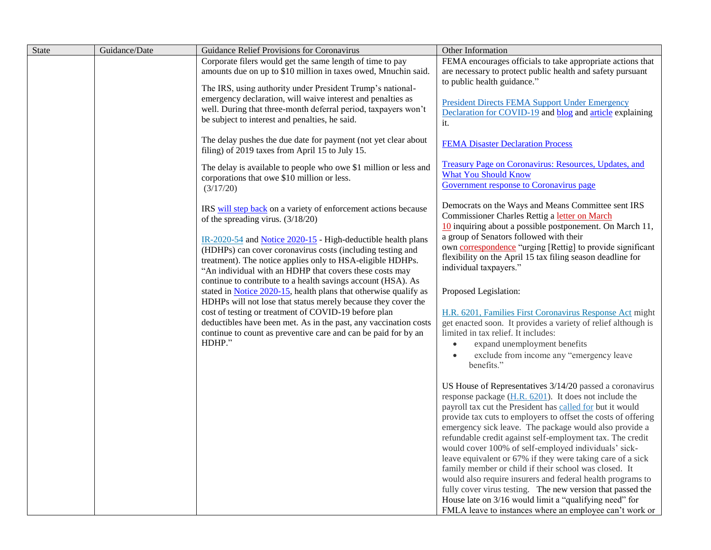| State | Guidance/Date | Guidance Relief Provisions for Coronavirus                                                                                                                                                                                                                            | Other Information                                                                                                                                                                                                                                                                    |
|-------|---------------|-----------------------------------------------------------------------------------------------------------------------------------------------------------------------------------------------------------------------------------------------------------------------|--------------------------------------------------------------------------------------------------------------------------------------------------------------------------------------------------------------------------------------------------------------------------------------|
|       |               | Corporate filers would get the same length of time to pay                                                                                                                                                                                                             | FEMA encourages officials to take appropriate actions that                                                                                                                                                                                                                           |
|       |               | amounts due on up to \$10 million in taxes owed, Mnuchin said.                                                                                                                                                                                                        | are necessary to protect public health and safety pursuant                                                                                                                                                                                                                           |
|       |               |                                                                                                                                                                                                                                                                       | to public health guidance."                                                                                                                                                                                                                                                          |
|       |               | The IRS, using authority under President Trump's national-<br>emergency declaration, will waive interest and penalties as<br>well. During that three-month deferral period, taxpayers won't<br>be subject to interest and penalties, he said.                         | <b>President Directs FEMA Support Under Emergency</b><br>Declaration for COVID-19 and blog and article explaining<br>it.                                                                                                                                                             |
|       |               | The delay pushes the due date for payment (not yet clear about<br>filing) of 2019 taxes from April 15 to July 15.                                                                                                                                                     | <b>FEMA Disaster Declaration Process</b>                                                                                                                                                                                                                                             |
|       |               | The delay is available to people who owe \$1 million or less and<br>corporations that owe \$10 million or less.<br>(3/17/20)                                                                                                                                          | Treasury Page on Coronavirus: Resources, Updates, and<br><b>What You Should Know</b><br>Government response to Coronavirus page                                                                                                                                                      |
|       |               | IRS will step back on a variety of enforcement actions because<br>of the spreading virus. $(3/18/20)$                                                                                                                                                                 | Democrats on the Ways and Means Committee sent IRS<br>Commissioner Charles Rettig a letter on March<br>$10$ inquiring about a possible postponement. On March 11,                                                                                                                    |
|       |               | IR-2020-54 and Notice 2020-15 - High-deductible health plans<br>(HDHPs) can cover coronavirus costs (including testing and<br>treatment). The notice applies only to HSA-eligible HDHPs.                                                                              | a group of Senators followed with their<br>own <b>correspondence</b> "urging [Rettig] to provide significant<br>flexibility on the April 15 tax filing season deadline for                                                                                                           |
|       |               | "An individual with an HDHP that covers these costs may<br>continue to contribute to a health savings account (HSA). As                                                                                                                                               | individual taxpayers."                                                                                                                                                                                                                                                               |
|       |               | stated in Notice 2020-15, health plans that otherwise qualify as                                                                                                                                                                                                      | Proposed Legislation:                                                                                                                                                                                                                                                                |
|       |               | HDHPs will not lose that status merely because they cover the<br>cost of testing or treatment of COVID-19 before plan<br>deductibles have been met. As in the past, any vaccination costs<br>continue to count as preventive care and can be paid for by an<br>HDHP." | H.R. 6201, Families First Coronavirus Response Act might<br>get enacted soon. It provides a variety of relief although is<br>limited in tax relief. It includes:<br>expand unemployment benefits<br>$\bullet$<br>exclude from income any "emergency leave<br>$\bullet$<br>benefits." |
|       |               |                                                                                                                                                                                                                                                                       | US House of Representatives 3/14/20 passed a coronavirus<br>response package $(H.R. 6201)$ . It does not include the<br>payroll tax cut the President has called for but it would                                                                                                    |
|       |               |                                                                                                                                                                                                                                                                       | provide tax cuts to employers to offset the costs of offering<br>emergency sick leave. The package would also provide a<br>refundable credit against self-employment tax. The credit                                                                                                 |
|       |               |                                                                                                                                                                                                                                                                       | would cover 100% of self-employed individuals' sick-<br>leave equivalent or 67% if they were taking care of a sick<br>family member or child if their school was closed. It                                                                                                          |
|       |               |                                                                                                                                                                                                                                                                       | would also require insurers and federal health programs to<br>fully cover virus testing. The new version that passed the<br>House late on 3/16 would limit a "qualifying need" for                                                                                                   |
|       |               |                                                                                                                                                                                                                                                                       | FMLA leave to instances where an employee can't work or                                                                                                                                                                                                                              |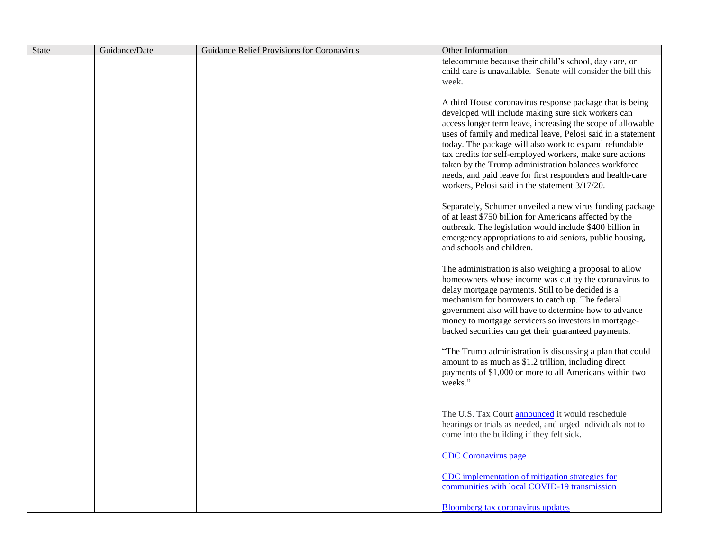| <b>State</b> | Guidance/Date | Guidance Relief Provisions for Coronavirus | Other Information                                                                                                                                                                                                                                                                                                                                                                                                                                                                                                                            |
|--------------|---------------|--------------------------------------------|----------------------------------------------------------------------------------------------------------------------------------------------------------------------------------------------------------------------------------------------------------------------------------------------------------------------------------------------------------------------------------------------------------------------------------------------------------------------------------------------------------------------------------------------|
|              |               |                                            | telecommute because their child's school, day care, or                                                                                                                                                                                                                                                                                                                                                                                                                                                                                       |
|              |               |                                            | child care is unavailable. Senate will consider the bill this                                                                                                                                                                                                                                                                                                                                                                                                                                                                                |
|              |               |                                            | week.                                                                                                                                                                                                                                                                                                                                                                                                                                                                                                                                        |
|              |               |                                            | A third House coronavirus response package that is being<br>developed will include making sure sick workers can<br>access longer term leave, increasing the scope of allowable<br>uses of family and medical leave, Pelosi said in a statement<br>today. The package will also work to expand refundable<br>tax credits for self-employed workers, make sure actions<br>taken by the Trump administration balances workforce<br>needs, and paid leave for first responders and health-care<br>workers, Pelosi said in the statement 3/17/20. |
|              |               |                                            | Separately, Schumer unveiled a new virus funding package<br>of at least \$750 billion for Americans affected by the<br>outbreak. The legislation would include \$400 billion in<br>emergency appropriations to aid seniors, public housing,<br>and schools and children.                                                                                                                                                                                                                                                                     |
|              |               |                                            | The administration is also weighing a proposal to allow<br>homeowners whose income was cut by the coronavirus to<br>delay mortgage payments. Still to be decided is a<br>mechanism for borrowers to catch up. The federal<br>government also will have to determine how to advance<br>money to mortgage servicers so investors in mortgage-<br>backed securities can get their guaranteed payments.                                                                                                                                          |
|              |               |                                            | "The Trump administration is discussing a plan that could<br>amount to as much as \$1.2 trillion, including direct<br>payments of \$1,000 or more to all Americans within two<br>weeks."                                                                                                                                                                                                                                                                                                                                                     |
|              |               |                                            | The U.S. Tax Court <b>announced</b> it would reschedule<br>hearings or trials as needed, and urged individuals not to<br>come into the building if they felt sick.                                                                                                                                                                                                                                                                                                                                                                           |
|              |               |                                            | <b>CDC</b> Coronavirus page                                                                                                                                                                                                                                                                                                                                                                                                                                                                                                                  |
|              |               |                                            | CDC implementation of mitigation strategies for<br>communities with local COVID-19 transmission                                                                                                                                                                                                                                                                                                                                                                                                                                              |
|              |               |                                            | Bloomberg tax coronavirus updates                                                                                                                                                                                                                                                                                                                                                                                                                                                                                                            |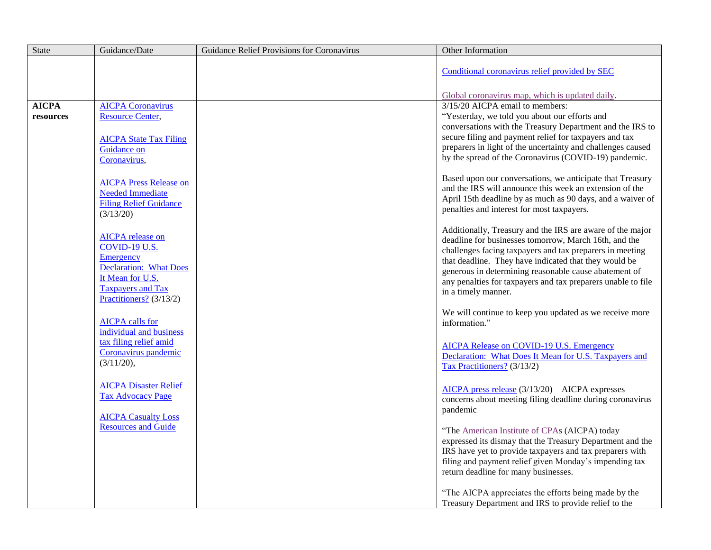| <b>State</b>              | Guidance/Date                                                                                                                                                     | Guidance Relief Provisions for Coronavirus | Other Information                                                                                                                                                                                                                                                                                                                                                                       |
|---------------------------|-------------------------------------------------------------------------------------------------------------------------------------------------------------------|--------------------------------------------|-----------------------------------------------------------------------------------------------------------------------------------------------------------------------------------------------------------------------------------------------------------------------------------------------------------------------------------------------------------------------------------------|
|                           |                                                                                                                                                                   |                                            | Conditional coronavirus relief provided by SEC                                                                                                                                                                                                                                                                                                                                          |
|                           |                                                                                                                                                                   |                                            | Global coronavirus map, which is updated daily.                                                                                                                                                                                                                                                                                                                                         |
| <b>AICPA</b><br>resources | <b>AICPA Coronavirus</b><br><b>Resource Center,</b><br><b>AICPA State Tax Filing</b><br>Guidance on                                                               |                                            | 3/15/20 AICPA email to members:<br>"Yesterday, we told you about our efforts and<br>conversations with the Treasury Department and the IRS to<br>secure filing and payment relief for taxpayers and tax<br>preparers in light of the uncertainty and challenges caused<br>by the spread of the Coronavirus (COVID-19) pandemic.                                                         |
|                           | Coronavirus,<br><b>AICPA Press Release on</b><br><b>Needed Immediate</b><br><b>Filing Relief Guidance</b><br>(3/13/20)                                            |                                            | Based upon our conversations, we anticipate that Treasury<br>and the IRS will announce this week an extension of the<br>April 15th deadline by as much as 90 days, and a waiver of<br>penalties and interest for most taxpayers.                                                                                                                                                        |
|                           | <b>AICPA</b> release on<br>COVID-19 U.S.<br>Emergency<br><b>Declaration:</b> What Does<br>It Mean for U.S.<br><b>Taxpayers and Tax</b><br>Practitioners? (3/13/2) |                                            | Additionally, Treasury and the IRS are aware of the major<br>deadline for businesses tomorrow, March 16th, and the<br>challenges facing taxpayers and tax preparers in meeting<br>that deadline. They have indicated that they would be<br>generous in determining reasonable cause abatement of<br>any penalties for taxpayers and tax preparers unable to file<br>in a timely manner. |
|                           | <b>AICPA</b> calls for<br>individual and business                                                                                                                 |                                            | We will continue to keep you updated as we receive more<br>information."                                                                                                                                                                                                                                                                                                                |
|                           | tax filing relief amid<br>Coronavirus pandemic<br>(3/11/20),                                                                                                      |                                            | <b>AICPA Release on COVID-19 U.S. Emergency</b><br>Declaration: What Does It Mean for U.S. Taxpayers and<br>Tax Practitioners? (3/13/2)                                                                                                                                                                                                                                                 |
|                           | <b>AICPA Disaster Relief</b><br><b>Tax Advocacy Page</b><br><b>AICPA Casualty Loss</b>                                                                            |                                            | $AICPA$ press release $(3/13/20) - AICPA$ expresses<br>concerns about meeting filing deadline during coronavirus<br>pandemic                                                                                                                                                                                                                                                            |
|                           | <b>Resources and Guide</b>                                                                                                                                        |                                            | "The American Institute of CPAs (AICPA) today<br>expressed its dismay that the Treasury Department and the<br>IRS have yet to provide taxpayers and tax preparers with<br>filing and payment relief given Monday's impending tax<br>return deadline for many businesses.                                                                                                                |
|                           |                                                                                                                                                                   |                                            | "The AICPA appreciates the efforts being made by the<br>Treasury Department and IRS to provide relief to the                                                                                                                                                                                                                                                                            |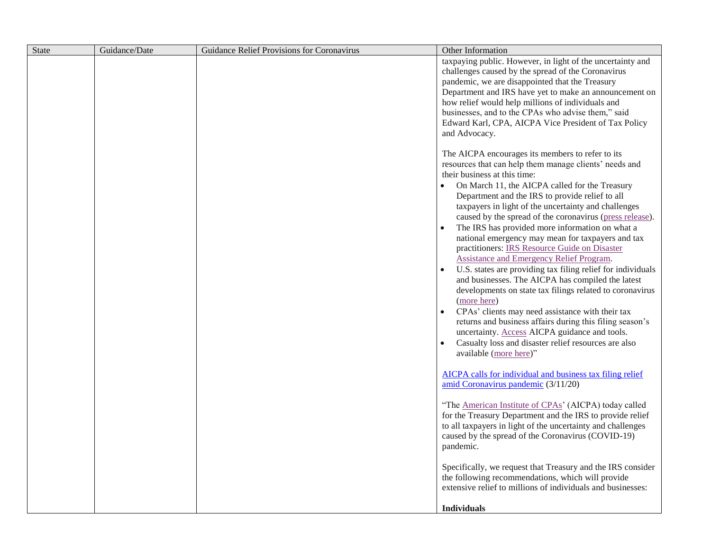| State | Guidance/Date | Guidance Relief Provisions for Coronavirus | Other Information                                                                                                                                                                                                                                                                                                                                                                                                                                                                                                                                                                                                                                                                                                                                                                                                                                                                                                                                                                                                                 |
|-------|---------------|--------------------------------------------|-----------------------------------------------------------------------------------------------------------------------------------------------------------------------------------------------------------------------------------------------------------------------------------------------------------------------------------------------------------------------------------------------------------------------------------------------------------------------------------------------------------------------------------------------------------------------------------------------------------------------------------------------------------------------------------------------------------------------------------------------------------------------------------------------------------------------------------------------------------------------------------------------------------------------------------------------------------------------------------------------------------------------------------|
|       |               |                                            | taxpaying public. However, in light of the uncertainty and<br>challenges caused by the spread of the Coronavirus<br>pandemic, we are disappointed that the Treasury<br>Department and IRS have yet to make an announcement on<br>how relief would help millions of individuals and<br>businesses, and to the CPAs who advise them," said<br>Edward Karl, CPA, AICPA Vice President of Tax Policy<br>and Advocacy.                                                                                                                                                                                                                                                                                                                                                                                                                                                                                                                                                                                                                 |
|       |               |                                            | The AICPA encourages its members to refer to its<br>resources that can help them manage clients' needs and<br>their business at this time:<br>On March 11, the AICPA called for the Treasury<br>Department and the IRS to provide relief to all<br>taxpayers in light of the uncertainty and challenges<br>caused by the spread of the coronavirus (press release).<br>The IRS has provided more information on what a<br>national emergency may mean for taxpayers and tax<br>practitioners: IRS Resource Guide on Disaster<br><b>Assistance and Emergency Relief Program.</b><br>U.S. states are providing tax filing relief for individuals<br>and businesses. The AICPA has compiled the latest<br>developments on state tax filings related to coronavirus<br>(more here)<br>CPAs' clients may need assistance with their tax<br>returns and business affairs during this filing season's<br>uncertainty. Access AICPA guidance and tools.<br>Casualty loss and disaster relief resources are also<br>available (more here)" |
|       |               |                                            | AICPA calls for individual and business tax filing relief<br>amid Coronavirus pandemic (3/11/20)<br>"The American Institute of CPAs' (AICPA) today called<br>for the Treasury Department and the IRS to provide relief<br>to all taxpayers in light of the uncertainty and challenges<br>caused by the spread of the Coronavirus (COVID-19)<br>pandemic.<br>Specifically, we request that Treasury and the IRS consider<br>the following recommendations, which will provide<br>extensive relief to millions of individuals and businesses:                                                                                                                                                                                                                                                                                                                                                                                                                                                                                       |
|       |               |                                            | <b>Individuals</b>                                                                                                                                                                                                                                                                                                                                                                                                                                                                                                                                                                                                                                                                                                                                                                                                                                                                                                                                                                                                                |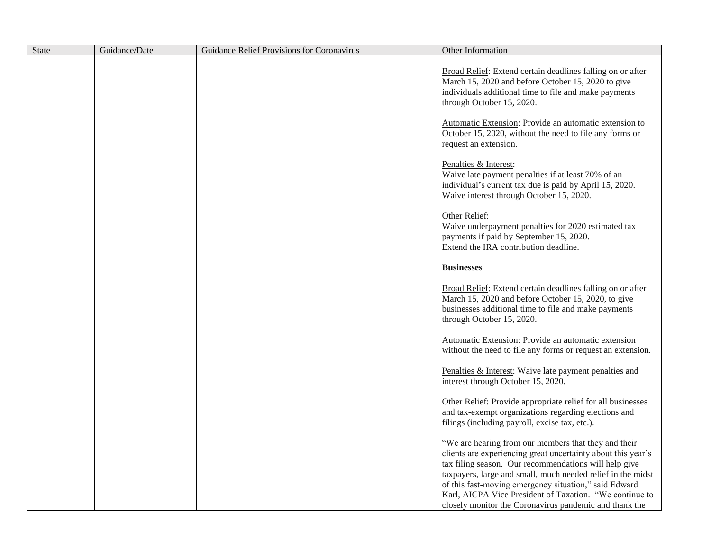| <b>State</b> | Guidance/Date | Guidance Relief Provisions for Coronavirus | Other Information                                                                                                                                                                                                                                                                                                                                                                                                          |
|--------------|---------------|--------------------------------------------|----------------------------------------------------------------------------------------------------------------------------------------------------------------------------------------------------------------------------------------------------------------------------------------------------------------------------------------------------------------------------------------------------------------------------|
|              |               |                                            | Broad Relief: Extend certain deadlines falling on or after<br>March 15, 2020 and before October 15, 2020 to give<br>individuals additional time to file and make payments<br>through October 15, 2020.                                                                                                                                                                                                                     |
|              |               |                                            | Automatic Extension: Provide an automatic extension to<br>October 15, 2020, without the need to file any forms or<br>request an extension.                                                                                                                                                                                                                                                                                 |
|              |               |                                            | Penalties & Interest:<br>Waive late payment penalties if at least 70% of an<br>individual's current tax due is paid by April 15, 2020.<br>Waive interest through October 15, 2020.                                                                                                                                                                                                                                         |
|              |               |                                            | Other Relief:<br>Waive underpayment penalties for 2020 estimated tax<br>payments if paid by September 15, 2020.<br>Extend the IRA contribution deadline.                                                                                                                                                                                                                                                                   |
|              |               |                                            | <b>Businesses</b>                                                                                                                                                                                                                                                                                                                                                                                                          |
|              |               |                                            | Broad Relief: Extend certain deadlines falling on or after<br>March 15, 2020 and before October 15, 2020, to give<br>businesses additional time to file and make payments<br>through October 15, 2020.                                                                                                                                                                                                                     |
|              |               |                                            | Automatic Extension: Provide an automatic extension<br>without the need to file any forms or request an extension.                                                                                                                                                                                                                                                                                                         |
|              |               |                                            | Penalties & Interest: Waive late payment penalties and<br>interest through October 15, 2020.                                                                                                                                                                                                                                                                                                                               |
|              |               |                                            | Other Relief: Provide appropriate relief for all businesses<br>and tax-exempt organizations regarding elections and<br>filings (including payroll, excise tax, etc.).                                                                                                                                                                                                                                                      |
|              |               |                                            | "We are hearing from our members that they and their<br>clients are experiencing great uncertainty about this year's<br>tax filing season. Our recommendations will help give<br>taxpayers, large and small, much needed relief in the midst<br>of this fast-moving emergency situation," said Edward<br>Karl, AICPA Vice President of Taxation. "We continue to<br>closely monitor the Coronavirus pandemic and thank the |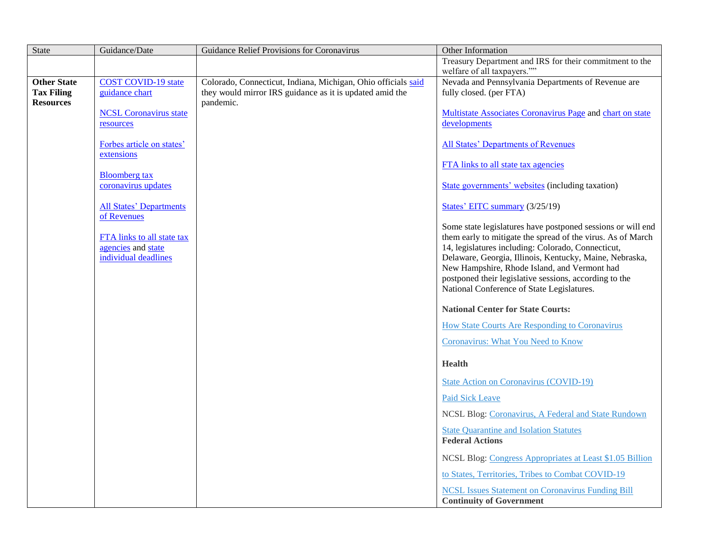| <b>State</b>                          | Guidance/Date                               | Guidance Relief Provisions for Coronavirus                            | Other Information                                                                                                          |
|---------------------------------------|---------------------------------------------|-----------------------------------------------------------------------|----------------------------------------------------------------------------------------------------------------------------|
|                                       |                                             |                                                                       | Treasury Department and IRS for their commitment to the                                                                    |
|                                       |                                             |                                                                       | welfare of all taxpayers.""                                                                                                |
| <b>Other State</b>                    | <b>COST COVID-19 state</b>                  | Colorado, Connecticut, Indiana, Michigan, Ohio officials said         | Nevada and Pennsylvania Departments of Revenue are                                                                         |
| <b>Tax Filing</b><br><b>Resources</b> | guidance chart                              | they would mirror IRS guidance as it is updated amid the<br>pandemic. | fully closed. (per FTA)                                                                                                    |
|                                       | <b>NCSL</b> Coronavirus state               |                                                                       | Multistate Associates Coronavirus Page and chart on state                                                                  |
|                                       | resources                                   |                                                                       | developments                                                                                                               |
|                                       |                                             |                                                                       |                                                                                                                            |
|                                       | Forbes article on states'                   |                                                                       | <b>All States' Departments of Revenues</b>                                                                                 |
|                                       | extensions                                  |                                                                       |                                                                                                                            |
|                                       |                                             |                                                                       | FTA links to all state tax agencies                                                                                        |
|                                       | <b>Bloomberg</b> tax<br>coronavirus updates |                                                                       | State governments' websites (including taxation)                                                                           |
|                                       |                                             |                                                                       |                                                                                                                            |
|                                       | <b>All States' Departments</b>              |                                                                       | States' EITC summary (3/25/19)                                                                                             |
|                                       | of Revenues                                 |                                                                       |                                                                                                                            |
|                                       | <b>FTA</b> links to all state tax           |                                                                       | Some state legislatures have postponed sessions or will end<br>them early to mitigate the spread of the virus. As of March |
|                                       | agencies and state                          |                                                                       | 14, legislatures including: Colorado, Connecticut,                                                                         |
|                                       | individual deadlines                        |                                                                       | Delaware, Georgia, Illinois, Kentucky, Maine, Nebraska,                                                                    |
|                                       |                                             |                                                                       | New Hampshire, Rhode Island, and Vermont had                                                                               |
|                                       |                                             |                                                                       | postponed their legislative sessions, according to the                                                                     |
|                                       |                                             |                                                                       | National Conference of State Legislatures.                                                                                 |
|                                       |                                             |                                                                       | <b>National Center for State Courts:</b>                                                                                   |
|                                       |                                             |                                                                       | <b>How State Courts Are Responding to Coronavirus</b>                                                                      |
|                                       |                                             |                                                                       | <b>Coronavirus: What You Need to Know</b>                                                                                  |
|                                       |                                             |                                                                       |                                                                                                                            |
|                                       |                                             |                                                                       | <b>Health</b>                                                                                                              |
|                                       |                                             |                                                                       | State Action on Coronavirus (COVID-19)                                                                                     |
|                                       |                                             |                                                                       | <b>Paid Sick Leave</b>                                                                                                     |
|                                       |                                             |                                                                       | NCSL Blog: Coronavirus, A Federal and State Rundown                                                                        |
|                                       |                                             |                                                                       | <b>State Quarantine and Isolation Statutes</b>                                                                             |
|                                       |                                             |                                                                       | <b>Federal Actions</b>                                                                                                     |
|                                       |                                             |                                                                       | NCSL Blog: Congress Appropriates at Least \$1.05 Billion                                                                   |
|                                       |                                             |                                                                       | to States, Territories, Tribes to Combat COVID-19                                                                          |
|                                       |                                             |                                                                       | <b>NCSL Issues Statement on Coronavirus Funding Bill</b><br><b>Continuity of Government</b>                                |